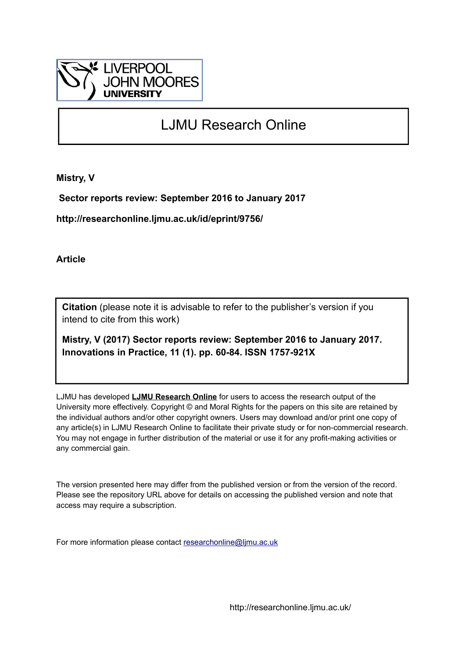

# LJMU Research Online

**Mistry, V**

 **Sector reports review: September 2016 to January 2017**

**http://researchonline.ljmu.ac.uk/id/eprint/9756/**

**Article**

**Citation** (please note it is advisable to refer to the publisher's version if you intend to cite from this work)

**Mistry, V (2017) Sector reports review: September 2016 to January 2017. Innovations in Practice, 11 (1). pp. 60-84. ISSN 1757-921X** 

LJMU has developed **[LJMU Research Online](http://researchonline.ljmu.ac.uk/)** for users to access the research output of the University more effectively. Copyright © and Moral Rights for the papers on this site are retained by the individual authors and/or other copyright owners. Users may download and/or print one copy of any article(s) in LJMU Research Online to facilitate their private study or for non-commercial research. You may not engage in further distribution of the material or use it for any profit-making activities or any commercial gain.

The version presented here may differ from the published version or from the version of the record. Please see the repository URL above for details on accessing the published version and note that access may require a subscription.

For more information please contact [researchonline@ljmu.ac.uk](mailto:researchonline@ljmu.ac.uk)

http://researchonline.ljmu.ac.uk/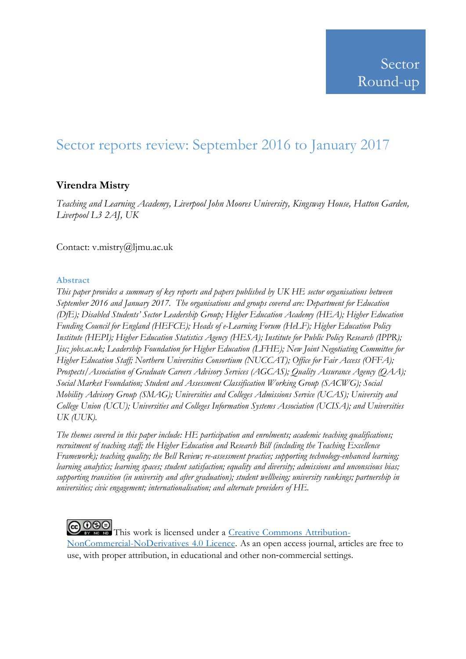# Sector reports review: September 2016 to January 2017

# **Virendra Mistry**

*Teaching and Learning Academy, Liverpool John Moores University, Kingsway House, Hatton Garden, Liverpool L3 2AJ, UK*

Contact: v.mistry@ljmu.ac.uk

### **Abstract**

*This paper provides a summary of key reports and papers published by UK HE sector organisations between September 2016 and January 2017. The organisations and groups covered are: Department for Education (DfE); Disabled Students' Sector Leadership Group; Higher Education Academy (HEA); Higher Education Funding Council for England (HEFCE); Heads of e-Learning Forum (HeLF); Higher Education Policy Institute (HEPI); Higher Education Statistics Agency (HESA); Institute for Public Policy Research (IPPR); Jisc; jobs.ac.uk; Leadership Foundation for Higher Education (LFHE); New Joint Negotiating Committee for Higher Education Staff; Northern Universities Consortium (NUCCAT); Office for Fair Access (OFFA); Prospects/Association of Graduate Careers Advisory Services (AGCAS); Quality Assurance Agency (QAA); Social Market Foundation; Student and Assessment Classification Working Group (SACWG); Social Mobility Advisory Group (SMAG); Universities and Colleges Admissions Service (UCAS); University and College Union (UCU); Universities and Colleges Information Systems Association (UCISA); and Universities UK (UUK).*

*The themes covered in this paper include: HE participation and enrolments; academic teaching qualifications; recruitment of teaching staff; the Higher Education and Research Bill (including the Teaching Excellence Framework); teaching quality; the Bell Review; re-assessment practice; supporting technology-enhanced learning; learning analytics; learning spaces; student satisfaction; equality and diversity; admissions and unconscious bias; supporting transition (in university and after graduation); student wellbeing; university rankings; partnership in universities; civic engagement; internationalisation; and alternate providers of HE.*

COOSO This work is licensed under a Creative Commons [Attribution-](http://creativecommons.org/licenses/by-nc-nd/4.0/)[NonCommercial-NoDerivatives](http://creativecommons.org/licenses/by-nc-nd/4.0/) 4.0 Licence. As an open access journal, articles are free to use, with proper attribution, in educational and other non‐commercial settings.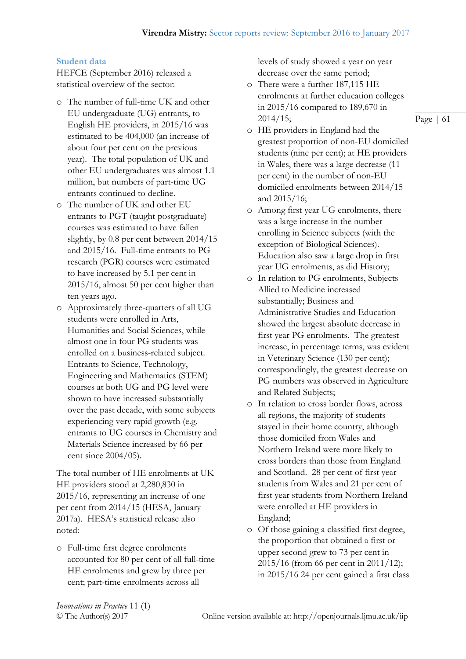#### **Student data**

HEFCE (September 2016) released a statistical overview of the sector:

- o The number of full-time UK and other EU undergraduate (UG) entrants, to English HE providers, in 2015/16 was estimated to be 404,000 (an increase of about four per cent on the previous year). The total population of UK and other EU undergraduates was almost 1.1 million, but numbers of part-time UG entrants continued to decline.
- o The number of UK and other EU entrants to PGT (taught postgraduate) courses was estimated to have fallen slightly, by 0.8 per cent between 2014/15 and 2015/16. Full-time entrants to PG research (PGR) courses were estimated to have increased by 5.1 per cent in 2015/16, almost 50 per cent higher than ten years ago.
- o Approximately three-quarters of all UG students were enrolled in Arts, Humanities and Social Sciences, while almost one in four PG students was enrolled on a business-related subject. Entrants to Science, Technology, Engineering and Mathematics (STEM) courses at both UG and PG level were shown to have increased substantially over the past decade, with some subjects experiencing very rapid growth (e.g. entrants to UG courses in Chemistry and Materials Science increased by 66 per cent since 2004/05).

The total number of HE enrolments at UK HE providers stood at 2,280,830 in 2015/16, representing an increase of one per cent from 2014/15 (HESA, January 2017a). HESA's statistical release also noted:

o Full-time first degree enrolments accounted for 80 per cent of all full-time HE enrolments and grew by three per cent; part-time enrolments across all

levels of study showed a year on year decrease over the same period;

- o There were a further 187,115 HE enrolments at further education colleges in 2015/16 compared to 189,670 in 2014/15;
- o HE providers in England had the greatest proportion of non-EU domiciled students (nine per cent); at HE providers in Wales, there was a large decrease (11 per cent) in the number of non-EU domiciled enrolments between 2014/15 and 2015/16;
- o Among first year UG enrolments, there was a large increase in the number enrolling in Science subjects (with the exception of Biological Sciences). Education also saw a large drop in first year UG enrolments, as did History;
- o In relation to PG enrolments, Subjects Allied to Medicine increased substantially; Business and Administrative Studies and Education showed the largest absolute decrease in first year PG enrolments. The greatest increase, in percentage terms, was evident in Veterinary Science (130 per cent); correspondingly, the greatest decrease on PG numbers was observed in Agriculture and Related Subjects;
- o In relation to cross border flows, across all regions, the majority of students stayed in their home country, although those domiciled from Wales and Northern Ireland were more likely to cross borders than those from England and Scotland. 28 per cent of first year students from Wales and 21 per cent of first year students from Northern Ireland were enrolled at HE providers in England;
- o Of those gaining a classified first degree, the proportion that obtained a first or upper second grew to 73 per cent in 2015/16 (from 66 per cent in 2011/12); in 2015/16 24 per cent gained a first class

*Innovations in Practice* 11 (1)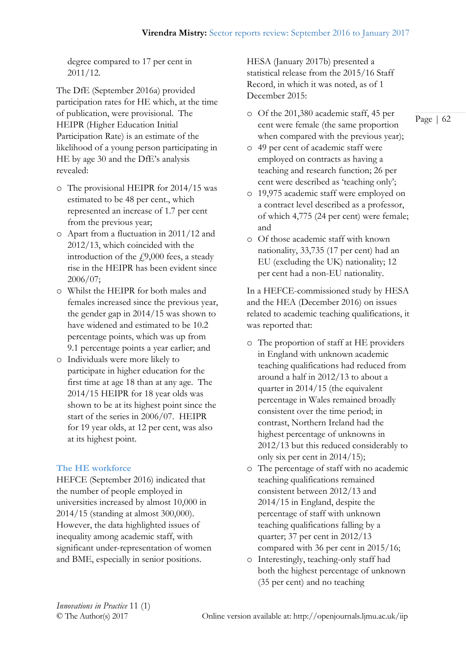degree compared to 17 per cent in 2011/12.

The DfE (September 2016a) provided participation rates for HE which, at the time of publication, were provisional. The HEIPR (Higher Education Initial Participation Rate) is an estimate of the likelihood of a young person participating in HE by age 30 and the DfE's analysis revealed:

- o The provisional HEIPR for 2014/15 was estimated to be 48 per cent., which represented an increase of 1.7 per cent from the previous year;
- o Apart from a fluctuation in 2011/12 and 2012/13, which coincided with the introduction of the  $\dot{f}$ 9,000 fees, a steady rise in the HEIPR has been evident since 2006/07;
- o Whilst the HEIPR for both males and females increased since the previous year, the gender gap in 2014/15 was shown to have widened and estimated to be 10.2 percentage points, which was up from 9.1 percentage points a year earlier; and
- o Individuals were more likely to participate in higher education for the first time at age 18 than at any age. The 2014/15 HEIPR for 18 year olds was shown to be at its highest point since the start of the series in 2006/07. HEIPR for 19 year olds, at 12 per cent, was also at its highest point.

# **The HE workforce**

HEFCE (September 2016) indicated that the number of people employed in universities increased by almost 10,000 in 2014/15 (standing at almost 300,000). However, the data highlighted issues of inequality among academic staff, with significant under-representation of women and BME, especially in senior positions.

HESA (January 2017b) presented a statistical release from the 2015/16 Staff Record, in which it was noted, as of 1 December 2015:

o Of the 201,380 academic staff, 45 per cent were female (the same proportion when compared with the previous year);

Page | 62

- o 49 per cent of academic staff were employed on contracts as having a teaching and research function; 26 per cent were described as 'teaching only';
- o 19,975 academic staff were employed on a contract level described as a professor, of which 4,775 (24 per cent) were female; and
- o Of those academic staff with known nationality, 33,735 (17 per cent) had an EU (excluding the UK) nationality; 12 per cent had a non-EU nationality.

In a HEFCE-commissioned study by HESA and the HEA (December 2016) on issues related to academic teaching qualifications, it was reported that:

- o The proportion of staff at HE providers in England with unknown academic teaching qualifications had reduced from around a half in 2012/13 to about a quarter in 2014/15 (the equivalent percentage in Wales remained broadly consistent over the time period; in contrast, Northern Ireland had the highest percentage of unknowns in 2012/13 but this reduced considerably to only six per cent in 2014/15);
- o The percentage of staff with no academic teaching qualifications remained consistent between 2012/13 and 2014/15 in England, despite the percentage of staff with unknown teaching qualifications falling by a quarter; 37 per cent in 2012/13 compared with 36 per cent in 2015/16;
- o Interestingly, teaching-only staff had both the highest percentage of unknown (35 per cent) and no teaching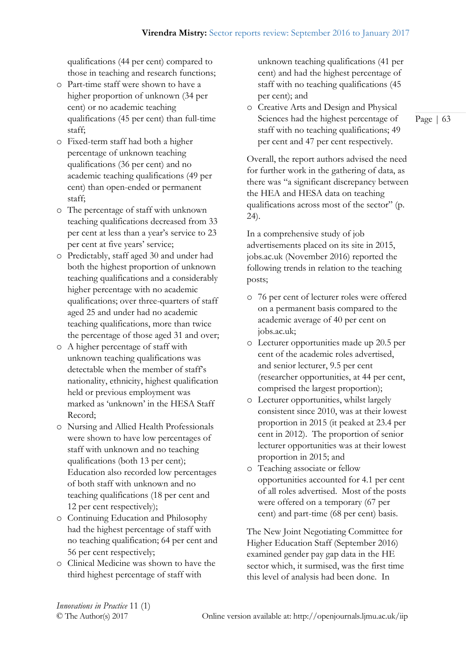qualifications (44 per cent) compared to those in teaching and research functions;

- o Part-time staff were shown to have a higher proportion of unknown (34 per cent) or no academic teaching qualifications (45 per cent) than full-time staff;
- o Fixed-term staff had both a higher percentage of unknown teaching qualifications (36 per cent) and no academic teaching qualifications (49 per cent) than open-ended or permanent staff;
- o The percentage of staff with unknown teaching qualifications decreased from 33 per cent at less than a year's service to 23 per cent at five years' service;
- o Predictably, staff aged 30 and under had both the highest proportion of unknown teaching qualifications and a considerably higher percentage with no academic qualifications; over three-quarters of staff aged 25 and under had no academic teaching qualifications, more than twice the percentage of those aged 31 and over;
- o A higher percentage of staff with unknown teaching qualifications was detectable when the member of staff's nationality, ethnicity, highest qualification held or previous employment was marked as 'unknown' in the HESA Staff Record;
- o Nursing and Allied Health Professionals were shown to have low percentages of staff with unknown and no teaching qualifications (both 13 per cent); Education also recorded low percentages of both staff with unknown and no teaching qualifications (18 per cent and 12 per cent respectively);
- o Continuing Education and Philosophy had the highest percentage of staff with no teaching qualification; 64 per cent and 56 per cent respectively;
- o Clinical Medicine was shown to have the third highest percentage of staff with

unknown teaching qualifications (41 per cent) and had the highest percentage of staff with no teaching qualifications (45 per cent); and

o Creative Arts and Design and Physical Sciences had the highest percentage of staff with no teaching qualifications; 49 per cent and 47 per cent respectively.

Overall, the report authors advised the need for further work in the gathering of data, as there was "a significant discrepancy between the HEA and HESA data on teaching qualifications across most of the sector" (p. 24).

In a comprehensive study of job advertisements placed on its site in 2015, jobs.ac.uk (November 2016) reported the following trends in relation to the teaching posts;

- o 76 per cent of lecturer roles were offered on a permanent basis compared to the academic average of 40 per cent on jobs.ac.uk;
- o Lecturer opportunities made up 20.5 per cent of the academic roles advertised, and senior lecturer, 9.5 per cent (researcher opportunities, at 44 per cent, comprised the largest proportion);
- o Lecturer opportunities, whilst largely consistent since 2010, was at their lowest proportion in 2015 (it peaked at 23.4 per cent in 2012). The proportion of senior lecturer opportunities was at their lowest proportion in 2015; and
- o Teaching associate or fellow opportunities accounted for 4.1 per cent of all roles advertised. Most of the posts were offered on a temporary (67 per cent) and part-time (68 per cent) basis.

The New Joint Negotiating Committee for Higher Education Staff (September 2016) examined gender pay gap data in the HE sector which, it surmised, was the first time this level of analysis had been done. In

*Innovations in Practice* 11 (1)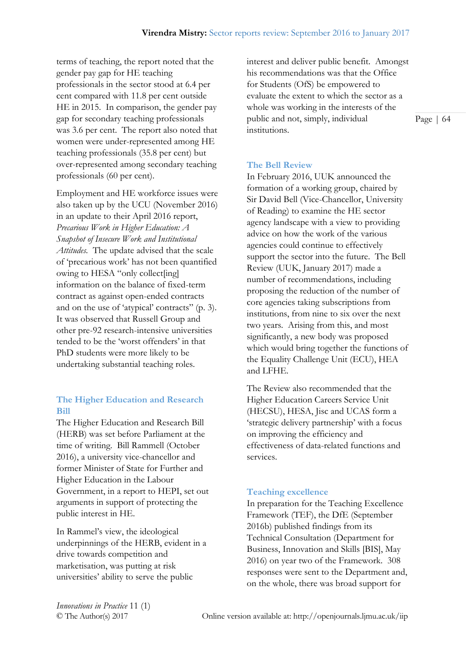terms of teaching, the report noted that the gender pay gap for HE teaching professionals in the sector stood at 6.4 per cent compared with 11.8 per cent outside HE in 2015. In comparison, the gender pay gap for secondary teaching professionals was 3.6 per cent. The report also noted that women were under-represented among HE teaching professionals (35.8 per cent) but over-represented among secondary teaching professionals (60 per cent).

Employment and HE workforce issues were also taken up by the UCU (November 2016) in an update to their April 2016 report, *Precarious Work in Higher Education: A Snapshot of Insecure Work and Institutional Attitudes.* The update advised that the scale of 'precarious work' has not been quantified owing to HESA "only collect[ing] information on the balance of fixed-term contract as against open-ended contracts and on the use of 'atypical' contracts" (p. 3). It was observed that Russell Group and other pre-92 research-intensive universities tended to be the 'worst offenders' in that PhD students were more likely to be undertaking substantial teaching roles.

# **The Higher Education and Research Bill**

The Higher Education and Research Bill (HERB) was set before Parliament at the time of writing. Bill Rammell (October 2016), a university vice-chancellor and former Minister of State for Further and Higher Education in the Labour Government, in a report to HEPI, set out arguments in support of protecting the public interest in HE.

In Rammel's view, the ideological underpinnings of the HERB, evident in a drive towards competition and marketisation, was putting at risk universities' ability to serve the public

interest and deliver public benefit. Amongst his recommendations was that the Office for Students (OfS) be empowered to evaluate the extent to which the sector as a whole was working in the interests of the public and not, simply, individual institutions.

Page | 64

# **The Bell Review**

In February 2016, UUK announced the formation of a working group, chaired by Sir David Bell (Vice-Chancellor, University of Reading) to examine the HE sector agency landscape with a view to providing advice on how the work of the various agencies could continue to effectively support the sector into the future. The Bell Review (UUK, January 2017) made a number of recommendations, including proposing the reduction of the number of core agencies taking subscriptions from institutions, from nine to six over the next two years. Arising from this, and most significantly, a new body was proposed which would bring together the functions of the Equality Challenge Unit (ECU), HEA and LFHE.

The Review also recommended that the Higher Education Careers Service Unit (HECSU), HESA, Jisc and UCAS form a 'strategic delivery partnership' with a focus on improving the efficiency and effectiveness of data-related functions and services.

#### **Teaching excellence**

In preparation for the Teaching Excellence Framework (TEF), the DfE (September 2016b) published findings from its Technical Consultation (Department for Business, Innovation and Skills [BIS], May 2016) on year two of the Framework. 308 responses were sent to the Department and, on the whole, there was broad support for

*Innovations in Practice* 11 (1)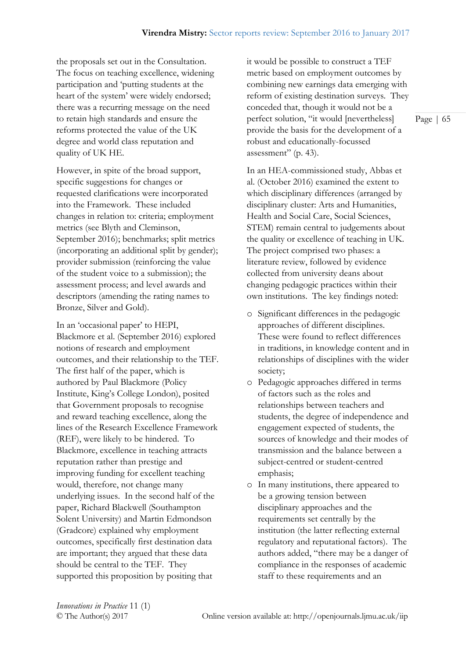the proposals set out in the Consultation. The focus on teaching excellence, widening participation and 'putting students at the heart of the system' were widely endorsed; there was a recurring message on the need to retain high standards and ensure the reforms protected the value of the UK degree and world class reputation and quality of UK HE.

However, in spite of the broad support, specific suggestions for changes or requested clarifications were incorporated into the Framework. These included changes in relation to: criteria; employment metrics (see Blyth and Cleminson, September 2016); benchmarks; split metrics (incorporating an additional split by gender); provider submission (reinforcing the value of the student voice to a submission); the assessment process; and level awards and descriptors (amending the rating names to Bronze, Silver and Gold).

In an 'occasional paper' to HEPI, Blackmore et al. (September 2016) explored notions of research and employment outcomes, and their relationship to the TEF. The first half of the paper, which is authored by Paul Blackmore (Policy Institute, King's College London), posited that Government proposals to recognise and reward teaching excellence, along the lines of the Research Excellence Framework (REF), were likely to be hindered. To Blackmore, excellence in teaching attracts reputation rather than prestige and improving funding for excellent teaching would, therefore, not change many underlying issues. In the second half of the paper, Richard Blackwell (Southampton Solent University) and Martin Edmondson (Gradcore) explained why employment outcomes, specifically first destination data are important; they argued that these data should be central to the TEF. They supported this proposition by positing that

it would be possible to construct a TEF metric based on employment outcomes by combining new earnings data emerging with reform of existing destination surveys. They conceded that, though it would not be a perfect solution, "it would [nevertheless] provide the basis for the development of a robust and educationally-focussed assessment" (p. 43).

In an HEA-commissioned study, Abbas et al. (October 2016) examined the extent to which disciplinary differences (arranged by disciplinary cluster: Arts and Humanities, Health and Social Care, Social Sciences, STEM) remain central to judgements about the quality or excellence of teaching in UK. The project comprised two phases: a literature review, followed by evidence collected from university deans about changing pedagogic practices within their own institutions. The key findings noted:

- o Significant differences in the pedagogic approaches of different disciplines. These were found to reflect differences in traditions, in knowledge content and in relationships of disciplines with the wider society;
- o Pedagogic approaches differed in terms of factors such as the roles and relationships between teachers and students, the degree of independence and engagement expected of students, the sources of knowledge and their modes of transmission and the balance between a subject-centred or student-centred emphasis;
- o In many institutions, there appeared to be a growing tension between disciplinary approaches and the requirements set centrally by the institution (the latter reflecting external regulatory and reputational factors). The authors added, "there may be a danger of compliance in the responses of academic staff to these requirements and an

*Innovations in Practice* 11 (1)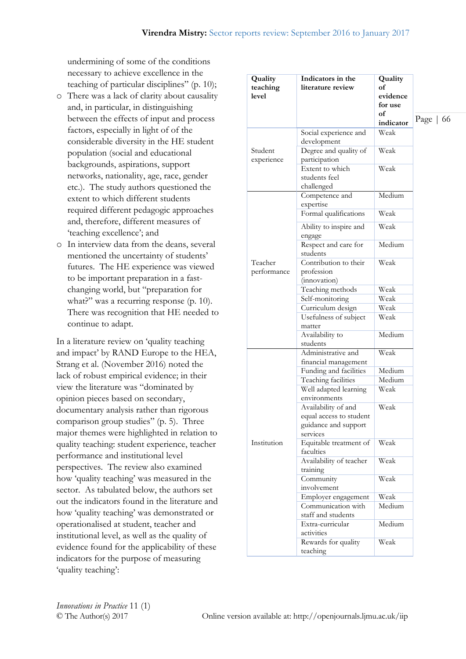undermining of some of the conditions necessary to achieve excellence in the teaching of particular disciplines" (p. 10);

- o There was a lack of clarity about causality and, in particular, in distinguishing between the effects of input and process factors, especially in light of of the considerable diversity in the HE student population (social and educational backgrounds, aspirations, support networks, nationality, age, race, gender etc.). The study authors questioned the extent to which different students required different pedagogic approaches and, therefore, different measures of 'teaching excellence'; and
- o In interview data from the deans, several mentioned the uncertainty of students' futures. The HE experience was viewed to be important preparation in a fastchanging world, but "preparation for what?" was a recurring response (p. 10). There was recognition that HE needed to continue to adapt.

In a literature review on 'quality teaching and impact' by RAND Europe to the HEA, Strang et al. (November 2016) noted the lack of robust empirical evidence; in their view the literature was "dominated by opinion pieces based on secondary, documentary analysis rather than rigorous comparison group studies" (p. 5). Three major themes were highlighted in relation to quality teaching: student experience, teacher performance and institutional level perspectives. The review also examined how 'quality teaching' was measured in the sector. As tabulated below, the authors set out the indicators found in the literature and how 'quality teaching' was demonstrated or operationalised at student, teacher and institutional level, as well as the quality of evidence found for the applicability of these indicators for the purpose of measuring 'quality teaching':

| Quality<br>teaching<br>level | Indicators in the<br>literature review                                             | Quality<br>of<br>evidence<br>for use<br>of<br>indicator | Page $\vert$ 66 |
|------------------------------|------------------------------------------------------------------------------------|---------------------------------------------------------|-----------------|
|                              | Social experience and<br>development                                               | Weak                                                    |                 |
| Student<br>experience        | Degree and quality of<br>participation                                             | Weak                                                    |                 |
|                              | Extent to which<br>students feel<br>challenged                                     | Weak                                                    |                 |
| Teacher<br>performance       | Competence and<br>expertise                                                        | Medium                                                  |                 |
|                              | Formal qualifications                                                              | Weak                                                    |                 |
|                              | Ability to inspire and<br>engage                                                   | Weak                                                    |                 |
|                              | Respect and care for<br>students                                                   | Medium                                                  |                 |
|                              | Contribution to their<br>profession<br>(innovation)                                | Weak                                                    |                 |
|                              | Teaching methods                                                                   | Weak                                                    |                 |
|                              | Self-monitoring                                                                    | Weak                                                    |                 |
|                              | Curriculum design                                                                  | Weak                                                    |                 |
|                              | Usefulness of subject<br>matter                                                    | Weak                                                    |                 |
|                              | Availability to<br>students                                                        | Medium                                                  |                 |
| Institution                  | Administrative and<br>financial management                                         | Weak                                                    |                 |
|                              | Funding and facilities                                                             | Medium                                                  |                 |
|                              | Teaching facilities                                                                | Medium                                                  |                 |
|                              | Well adapted learning<br>environments                                              | Weak                                                    |                 |
|                              | Availability of and<br>equal access to student<br>guidance and support<br>services | Weak                                                    |                 |
|                              | Equitable treatment of<br>faculties                                                | Weak                                                    |                 |
|                              | Availability of teacher<br>training                                                | Weak                                                    |                 |
|                              | Community<br>involvement                                                           | Weak                                                    |                 |
|                              | Employer engagement                                                                | Weak                                                    |                 |
|                              | Communication with<br>staff and students                                           | Medium                                                  |                 |
|                              | Extra-curricular<br>activities                                                     | Medium                                                  |                 |
|                              | Rewards for quality<br>teaching                                                    | Weak                                                    |                 |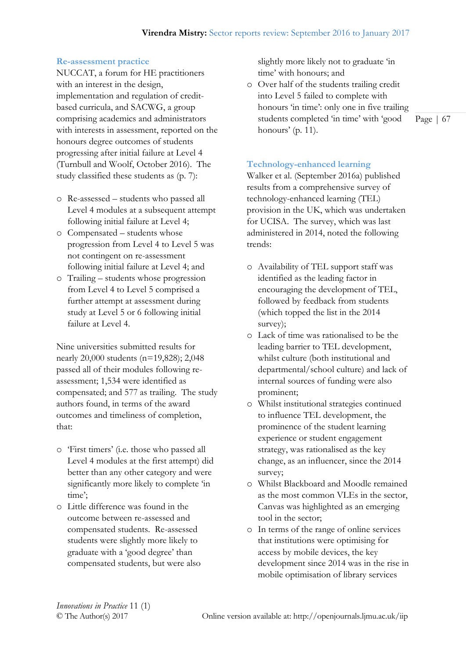#### **Re-assessment practice**

NUCCAT, a forum for HE practitioners with an interest in the design, implementation and regulation of creditbased curricula, and SACWG, a group comprising academics and administrators with interests in assessment, reported on the honours degree outcomes of students progressing after initial failure at Level 4 (Turnbull and Woolf, October 2016). The study classified these students as (p. 7):

- o Re-assessed students who passed all Level 4 modules at a subsequent attempt following initial failure at Level 4;
- o Compensated students whose progression from Level 4 to Level 5 was not contingent on re-assessment following initial failure at Level 4; and
- o Trailing students whose progression from Level 4 to Level 5 comprised a further attempt at assessment during study at Level 5 or 6 following initial failure at Level 4.

Nine universities submitted results for nearly 20,000 students (n=19,828); 2,048 passed all of their modules following reassessment; 1,534 were identified as compensated; and 577 as trailing. The study authors found, in terms of the award outcomes and timeliness of completion, that:

- o 'First timers' (i.e. those who passed all Level 4 modules at the first attempt) did better than any other category and were significantly more likely to complete 'in time';
- o Little difference was found in the outcome between re-assessed and compensated students. Re-assessed students were slightly more likely to graduate with a 'good degree' than compensated students, but were also

slightly more likely not to graduate 'in time' with honours; and

o Over half of the students trailing credit into Level 5 failed to complete with honours 'in time': only one in five trailing students completed 'in time' with 'good honours' (p. 11).

Page | 67

#### **Technology-enhanced learning**

Walker et al. (September 2016a) published results from a comprehensive survey of technology-enhanced learning (TEL) provision in the UK, which was undertaken for UCISA. The survey, which was last administered in 2014, noted the following trends:

- o Availability of TEL support staff was identified as the leading factor in encouraging the development of TEL, followed by feedback from students (which topped the list in the 2014 survey);
- o Lack of time was rationalised to be the leading barrier to TEL development, whilst culture (both institutional and departmental/school culture) and lack of internal sources of funding were also prominent;
- o Whilst institutional strategies continued to influence TEL development, the prominence of the student learning experience or student engagement strategy, was rationalised as the key change, as an influencer, since the 2014 survey;
- o Whilst Blackboard and Moodle remained as the most common VLEs in the sector, Canvas was highlighted as an emerging tool in the sector;
- o In terms of the range of online services that institutions were optimising for access by mobile devices, the key development since 2014 was in the rise in mobile optimisation of library services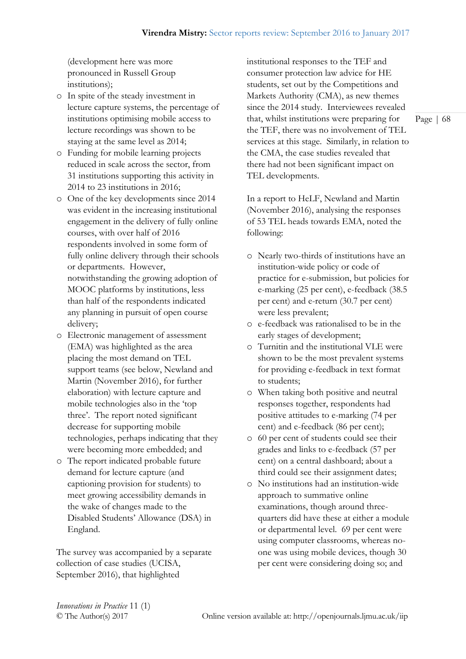(development here was more pronounced in Russell Group institutions);

- o In spite of the steady investment in lecture capture systems, the percentage of institutions optimising mobile access to lecture recordings was shown to be staying at the same level as 2014;
- o Funding for mobile learning projects reduced in scale across the sector, from 31 institutions supporting this activity in 2014 to 23 institutions in 2016;
- o One of the key developments since 2014 was evident in the increasing institutional engagement in the delivery of fully online courses, with over half of 2016 respondents involved in some form of fully online delivery through their schools or departments. However, notwithstanding the growing adoption of MOOC platforms by institutions, less than half of the respondents indicated any planning in pursuit of open course delivery;
- o Electronic management of assessment (EMA) was highlighted as the area placing the most demand on TEL support teams (see below, Newland and Martin (November 2016), for further elaboration) with lecture capture and mobile technologies also in the 'top three'. The report noted significant decrease for supporting mobile technologies, perhaps indicating that they were becoming more embedded; and
- o The report indicated probable future demand for lecture capture (and captioning provision for students) to meet growing accessibility demands in the wake of changes made to the Disabled Students' Allowance (DSA) in England.

The survey was accompanied by a separate collection of case studies (UCISA, September 2016), that highlighted

institutional responses to the TEF and consumer protection law advice for HE students, set out by the Competitions and Markets Authority (CMA), as new themes since the 2014 study. Interviewees revealed that, whilst institutions were preparing for the TEF, there was no involvement of TEL services at this stage. Similarly, in relation to the CMA, the case studies revealed that there had not been significant impact on TEL developments.

In a report to HeLF, Newland and Martin (November 2016), analysing the responses of 53 TEL heads towards EMA, noted the following:

- o Nearly two-thirds of institutions have an institution-wide policy or code of practice for e-submission, but policies for e-marking (25 per cent), e-feedback (38.5 per cent) and e-return (30.7 per cent) were less prevalent;
- o e-feedback was rationalised to be in the early stages of development;
- o Turnitin and the institutional VLE were shown to be the most prevalent systems for providing e-feedback in text format to students;
- o When taking both positive and neutral responses together, respondents had positive attitudes to e-marking (74 per cent) and e-feedback (86 per cent);
- o 60 per cent of students could see their grades and links to e-feedback (57 per cent) on a central dashboard; about a third could see their assignment dates;
- o No institutions had an institution-wide approach to summative online examinations, though around threequarters did have these at either a module or departmental level. 69 per cent were using computer classrooms, whereas noone was using mobile devices, though 30 per cent were considering doing so; and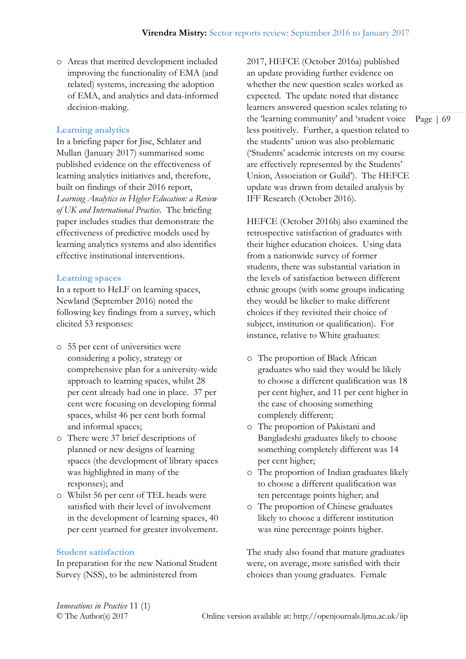o Areas that merited development included improving the functionality of EMA (and related) systems, increasing the adoption of EMA, and analytics and data-informed decision-making.

#### **Learning analytics**

In a briefing paper for Jisc, Schlater and Mullan (January 2017) summarised some published evidence on the effectiveness of learning analytics initiatives and, therefore, built on findings of their 2016 report, *Learning Analytics in Higher Education: a Review of UK and International Practice.* The briefing paper includes studies that demonstrate the effectiveness of predictive models used by learning analytics systems and also identifies effective institutional interventions.

#### **Learning spaces**

In a report to HeLF on learning spaces, Newland (September 2016) noted the following key findings from a survey, which elicited 53 responses:

- o 55 per cent of universities were considering a policy, strategy or comprehensive plan for a university-wide approach to learning spaces, whilst 28 per cent already had one in place. 37 per cent were focusing on developing formal spaces, whilst 46 per cent both formal and informal spaces;
- o There were 37 brief descriptions of planned or new designs of learning spaces (the development of library spaces was highlighted in many of the responses); and
- o Whilst 56 per cent of TEL heads were satisfied with their level of involvement in the development of learning spaces, 40 per cent yearned for greater involvement.

#### **Student satisfaction**

In preparation for the new National Student Survey (NSS), to be administered from

2017, HEFCE (October 2016a) published an update providing further evidence on whether the new question scales worked as expected. The update noted that distance learners answered question scales relating to the 'learning community' and 'student voice less positively. Further, a question related to the students' union was also problematic ('Students' academic interests on my course are effectively represented by the Students' Union, Association or Guild'). The HEFCE update was drawn from detailed analysis by IFF Research (October 2016).

HEFCE (October 2016b) also examined the retrospective satisfaction of graduates with their higher education choices. Using data from a nationwide survey of former students, there was substantial variation in the levels of satisfaction between different ethnic groups (with some groups indicating they would be likelier to make different choices if they revisited their choice of subject, institution or qualification). For instance, relative to White graduates:

- o The proportion of Black African graduates who said they would be likely to choose a different qualification was 18 per cent higher, and 11 per cent higher in the case of choosing something completely different;
- o The proportion of Pakistani and Bangladeshi graduates likely to choose something completely different was 14 per cent higher;
- o The proportion of Indian graduates likely to choose a different qualification was ten percentage points higher; and
- o The proportion of Chinese graduates likely to choose a different institution was nine percentage points higher.

The study also found that mature graduates were, on average, more satisfied with their choices than young graduates. Female

*Innovations in Practice* 11 (1)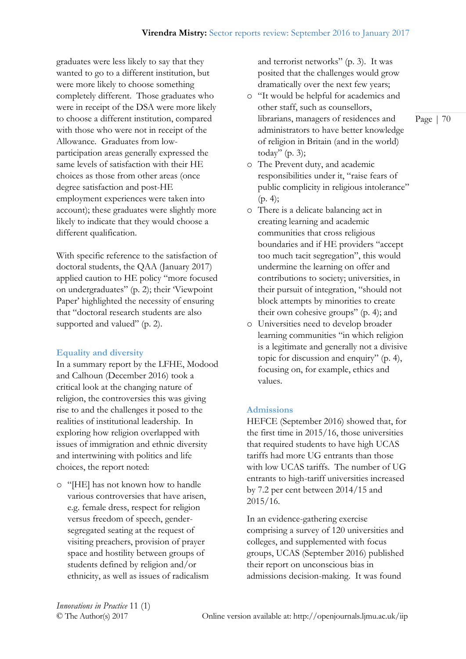graduates were less likely to say that they wanted to go to a different institution, but were more likely to choose something completely different. Those graduates who were in receipt of the DSA were more likely to choose a different institution, compared with those who were not in receipt of the Allowance. Graduates from lowparticipation areas generally expressed the same levels of satisfaction with their HE choices as those from other areas (once degree satisfaction and post-HE employment experiences were taken into account); these graduates were slightly more likely to indicate that they would choose a different qualification.

With specific reference to the satisfaction of doctoral students, the QAA (January 2017) applied caution to HE policy "more focused on undergraduates" (p. 2); their 'Viewpoint Paper' highlighted the necessity of ensuring that "doctoral research students are also supported and valued" (p. 2).

#### **Equality and diversity**

In a summary report by the LFHE, Modood and Calhoun (December 2016) took a critical look at the changing nature of religion, the controversies this was giving rise to and the challenges it posed to the realities of institutional leadership. In exploring how religion overlapped with issues of immigration and ethnic diversity and intertwining with politics and life choices, the report noted:

o "[HE] has not known how to handle various controversies that have arisen, e.g. female dress, respect for religion versus freedom of speech, gendersegregated seating at the request of visiting preachers, provision of prayer space and hostility between groups of students defined by religion and/or ethnicity, as well as issues of radicalism and terrorist networks" (p. 3). It was posited that the challenges would grow dramatically over the next few years;

- o "It would be helpful for academics and other staff, such as counsellors, librarians, managers of residences and administrators to have better knowledge of religion in Britain (and in the world) today" (p. 3);
- o The Prevent duty, and academic responsibilities under it, "raise fears of public complicity in religious intolerance"  $(p. 4);$
- o There is a delicate balancing act in creating learning and academic communities that cross religious boundaries and if HE providers "accept too much tacit segregation", this would undermine the learning on offer and contributions to society; universities, in their pursuit of integration, "should not block attempts by minorities to create their own cohesive groups" (p. 4); and
- o Universities need to develop broader learning communities "in which religion is a legitimate and generally not a divisive topic for discussion and enquiry" (p. 4), focusing on, for example, ethics and values.

#### **Admissions**

HEFCE (September 2016) showed that, for the first time in 2015/16, those universities that required students to have high UCAS tariffs had more UG entrants than those with low UCAS tariffs. The number of UG entrants to high-tariff universities increased by 7.2 per cent between 2014/15 and 2015/16.

In an evidence-gathering exercise comprising a survey of 120 universities and colleges, and supplemented with focus groups, UCAS (September 2016) published their report on unconscious bias in admissions decision-making. It was found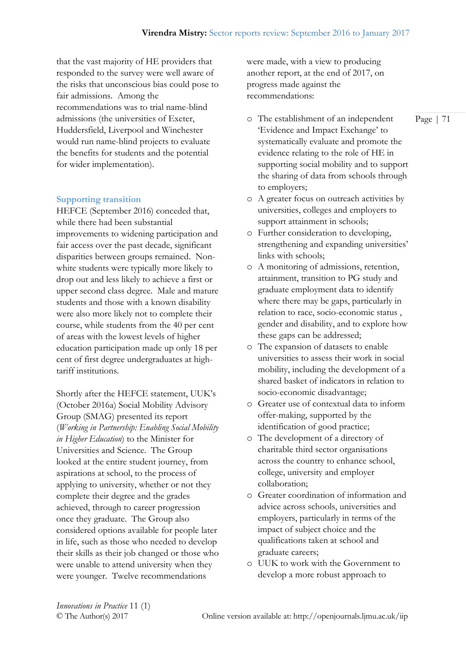that the vast majority of HE providers that responded to the survey were well aware of the risks that unconscious bias could pose to fair admissions. Among the recommendations was to trial name-blind admissions (the universities of Exeter, Huddersfield, Liverpool and Winchester would run name-blind projects to evaluate the benefits for students and the potential for wider implementation).

#### **Supporting transition**

HEFCE (September 2016) conceded that, while there had been substantial improvements to widening participation and fair access over the past decade, significant disparities between groups remained. Nonwhite students were typically more likely to drop out and less likely to achieve a first or upper second class degree. Male and mature students and those with a known disability were also more likely not to complete their course, while students from the 40 per cent of areas with the lowest levels of higher education participation made up only 18 per cent of first degree undergraduates at hightariff institutions.

Shortly after the HEFCE statement, UUK's (October 2016a) Social Mobility Advisory Group (SMAG) presented its report (*Working in Partnership: Enabling Social Mobility in Higher Education*) to the Minister for Universities and Science. The Group looked at the entire student journey, from aspirations at school, to the process of applying to university, whether or not they complete their degree and the grades achieved, through to career progression once they graduate. The Group also considered options available for people later in life, such as those who needed to develop their skills as their job changed or those who were unable to attend university when they were younger. Twelve recommendations

were made, with a view to producing another report, at the end of 2017, on progress made against the recommendations:

- o The establishment of an independent 'Evidence and Impact Exchange' to systematically evaluate and promote the evidence relating to the role of HE in supporting social mobility and to support the sharing of data from schools through to employers;
- o A greater focus on outreach activities by universities, colleges and employers to support attainment in schools;
- o Further consideration to developing, strengthening and expanding universities' links with schools;
- o A monitoring of admissions, retention, attainment, transition to PG study and graduate employment data to identify where there may be gaps, particularly in relation to race, socio-economic status , gender and disability, and to explore how these gaps can be addressed;
- o The expansion of datasets to enable universities to assess their work in social mobility, including the development of a shared basket of indicators in relation to socio-economic disadvantage;
- o Greater use of contextual data to inform offer-making, supported by the identification of good practice;
- o The development of a directory of charitable third sector organisations across the country to enhance school, college, university and employer collaboration;
- o Greater coordination of information and advice across schools, universities and employers, particularly in terms of the impact of subject choice and the qualifications taken at school and graduate careers;
- o UUK to work with the Government to develop a more robust approach to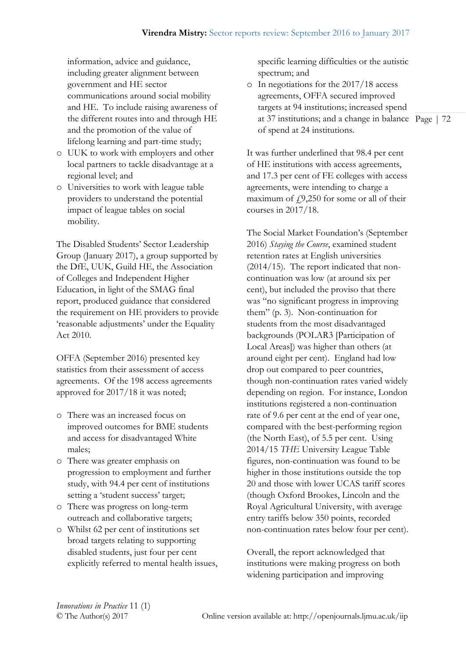information, advice and guidance, including greater alignment between government and HE sector communications around social mobility and HE. To include raising awareness of the different routes into and through HE and the promotion of the value of lifelong learning and part-time study;

- o UUK to work with employers and other local partners to tackle disadvantage at a regional level; and
- o Universities to work with league table providers to understand the potential impact of league tables on social mobility.

The Disabled Students' Sector Leadership Group (January 2017), a group supported by the DfE, UUK, Guild HE, the Association of Colleges and Independent Higher Education, in light of the SMAG final report, produced guidance that considered the requirement on HE providers to provide 'reasonable adjustments' under the Equality Act 2010.

OFFA (September 2016) presented key statistics from their assessment of access agreements. Of the 198 access agreements approved for 2017/18 it was noted;

- o There was an increased focus on improved outcomes for BME students and access for disadvantaged White males;
- o There was greater emphasis on progression to employment and further study, with 94.4 per cent of institutions setting a 'student success' target;
- o There was progress on long-term outreach and collaborative targets;
- o Whilst 62 per cent of institutions set broad targets relating to supporting disabled students, just four per cent explicitly referred to mental health issues,

specific learning difficulties or the autistic spectrum; and

at 37 institutions; and a change in balance Page | 72 o In negotiations for the 2017/18 access agreements, OFFA secured improved targets at 94 institutions; increased spend of spend at 24 institutions.

It was further underlined that 98.4 per cent of HE institutions with access agreements, and 17.3 per cent of FE colleges with access agreements, were intending to charge a maximum of  $f(9,250)$  for some or all of their courses in 2017/18.

The Social Market Foundation's (September 2016) *[Staying the Course](http://socialmarketfoundation.cmail19.com/t/t-l-hyjkcy-ollhdlydi-y/)*, examined student retention rates at English universities (2014/15). The report indicated that noncontinuation was low (at around six per cent), but included the proviso that there was "no significant progress in improving them" (p. 3). Non-continuation for students from the most disadvantaged backgrounds (POLAR3 [Participation of Local Areas]) was higher than others (at around eight per cent). England had low drop out compared to peer countries, though non-continuation rates varied widely depending on region. For instance, London institutions registered a non-continuation rate of 9.6 per cent at the end of year one, compared with the best-performing region (the North East), of 5.5 per cent. Using 2014/15 *THE* University League Table figures, non-continuation was found to be higher in those institutions outside the top 20 and those with lower UCAS tariff scores (though Oxford Brookes, Lincoln and the Royal Agricultural University, with average entry tariffs below 350 points, recorded non-continuation rates below four per cent).

Overall, the report acknowledged that institutions were making progress on both widening participation and improving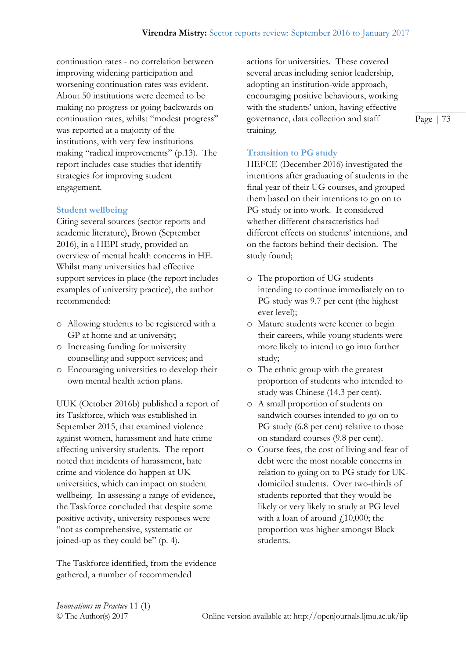continuation rates - no correlation between improving widening participation and worsening continuation rates was evident. About 50 institutions were deemed to be making no progress or going backwards on continuation rates, whilst "modest progress" was reported at a majority of the institutions, with very few institutions making "radical improvements" (p.13). The report includes case studies that identify strategies for improving student engagement.

#### **Student wellbeing**

Citing several sources (sector reports and academic literature), Brown (September 2016), in a HEPI study, provided an overview of mental health concerns in HE. Whilst many universities had effective support services in place (the report includes examples of university practice), the author recommended:

- o Allowing students to be registered with a GP at home and at university;
- o Increasing funding for university counselling and support services; and
- o Encouraging universities to develop their own mental health action plans.

UUK (October 2016b) published a report of its Taskforce, which was established in September 2015, that examined violence against women, harassment and hate crime affecting university students. The report noted that incidents of harassment, hate crime and violence do happen at UK universities, which can impact on student wellbeing. In assessing a range of evidence, the Taskforce concluded that despite some positive activity, university responses were "not as comprehensive, systematic or joined-up as they could be" (p. 4).

The Taskforce identified, from the evidence gathered, a number of recommended

actions for universities. These covered several areas including senior leadership, adopting an institution-wide approach, encouraging positive behaviours, working with the students' union, having effective governance, data collection and staff training.

#### **Transition to PG study**

HEFCE (December 2016) investigated the intentions after graduating of students in the final year of their UG courses, and grouped them based on their intentions to go on to PG study or into work. It considered whether different characteristics had different effects on students' intentions, and on the factors behind their decision. The study found;

- o The proportion of UG students intending to continue immediately on to PG study was 9.7 per cent (the highest ever level);
- o Mature students were keener to begin their careers, while young students were more likely to intend to go into further study;
- o The ethnic group with the greatest proportion of students who intended to study was Chinese (14.3 per cent).
- o A small proportion of students on sandwich courses intended to go on to PG study (6.8 per cent) relative to those on standard courses (9.8 per cent).
- o Course fees, the cost of living and fear of debt were the most notable concerns in relation to going on to PG study for UKdomiciled students. Over two-thirds of students reported that they would be likely or very likely to study at PG level with a loan of around  $f$ 10,000; the proportion was higher amongst Black students.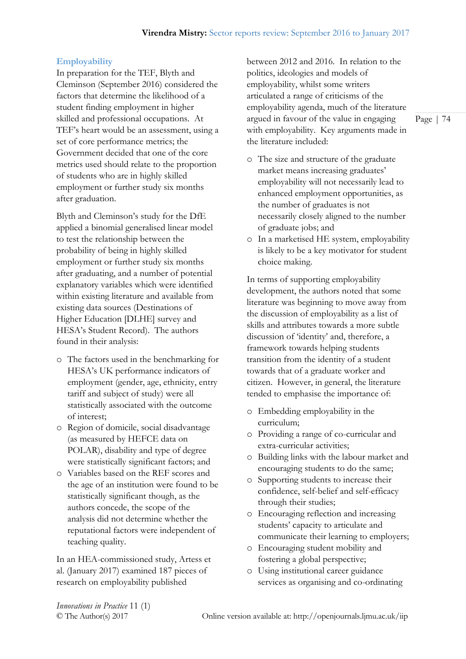# **Employability**

In preparation for the TEF, Blyth and Cleminson (September 2016) considered the factors that determine the likelihood of a student finding employment in higher skilled and professional occupations. At TEF's heart would be an assessment, using a set of core performance metrics; the Government decided that one of the core metrics used should relate to the proportion of students who are in highly skilled employment or further study six months after graduation.

Blyth and Cleminson's study for the DfE applied a binomial generalised linear model to test the relationship between the probability of being in highly skilled employment or further study six months after graduating, and a number of potential explanatory variables which were identified within existing literature and available from existing data sources (Destinations of Higher Education [DLHE] survey and HESA's Student Record). The authors found in their analysis:

- o The factors used in the benchmarking for HESA's UK performance indicators of employment (gender, age, ethnicity, entry tariff and subject of study) were all statistically associated with the outcome of interest;
- o Region of domicile, social disadvantage (as measured by HEFCE data on POLAR), disability and type of degree were statistically significant factors; and
- o Variables based on the REF scores and the age of an institution were found to be statistically significant though, as the authors concede, the scope of the analysis did not determine whether the reputational factors were independent of teaching quality.

In an HEA-commissioned study, Artess et al. (January 2017) examined 187 pieces of research on employability published

between 2012 and 2016. In relation to the politics, ideologies and models of employability, whilst some writers articulated a range of criticisms of the employability agenda, much of the literature argued in favour of the value in engaging with employability. Key arguments made in the literature included:

- o The size and structure of the graduate market means increasing graduates' employability will not necessarily lead to enhanced employment opportunities, as the number of graduates is not necessarily closely aligned to the number of graduate jobs; and
- o In a marketised HE system, employability is likely to be a key motivator for student choice making.

In terms of supporting employability development, the authors noted that some literature was beginning to move away from the discussion of employability as a list of skills and attributes towards a more subtle discussion of 'identity' and, therefore, a framework towards helping students transition from the identity of a student towards that of a graduate worker and citizen. However, in general, the literature tended to emphasise the importance of:

- o Embedding employability in the curriculum;
- o Providing a range of co-curricular and extra-curricular activities;
- o Building links with the labour market and encouraging students to do the same;
- o Supporting students to increase their confidence, self-belief and self-efficacy through their studies;
- o Encouraging reflection and increasing students' capacity to articulate and communicate their learning to employers;
- o Encouraging student mobility and fostering a global perspective;
- o Using institutional career guidance services as organising and co-ordinating

*Innovations in Practice* 11 (1)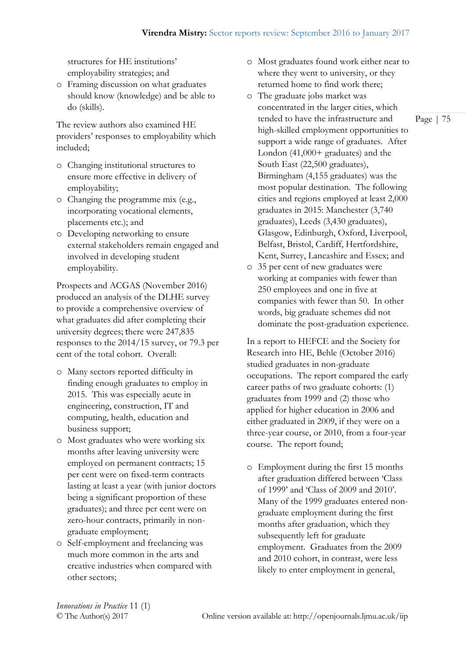structures for HE institutions' employability strategies; and

o Framing discussion on what graduates should know (knowledge) and be able to do (skills).

The review authors also examined HE providers' responses to employability which included;

- o Changing institutional structures to ensure more effective in delivery of employability;
- o Changing the programme mix (e.g., incorporating vocational elements, placements etc.); and
- o Developing networking to ensure external stakeholders remain engaged and involved in developing student employability.

Prospects and ACGAS (November 2016) produced an analysis of the DLHE survey to provide a comprehensive overview of what graduates did after completing their university degrees; there were 247,835 responses to the 2014/15 survey, or 79.3 per cent of the total cohort. Overall:

- o Many sectors reported difficulty in finding enough graduates to employ in 2015. This was especially acute in engineering, construction, IT and computing, health, education and business support;
- o Most graduates who were working six months after leaving university were employed on permanent contracts; 15 per cent were on fixed-term contracts lasting at least a year (with junior doctors being a significant proportion of these graduates); and three per cent were on zero-hour contracts, primarily in nongraduate employment;
- o Self-employment and freelancing was much more common in the arts and creative industries when compared with other sectors;
- o Most graduates found work either near to where they went to university, or they returned home to find work there;
- o The graduate jobs market was concentrated in the larger cities, which tended to have the infrastructure and high-skilled employment opportunities to support a wide range of graduates. After London (41,000+ graduates) and the South East (22,500 graduates), Birmingham (4,155 graduates) was the most popular destination. The following cities and regions employed at least 2,000 graduates in 2015: Manchester (3,740 graduates), Leeds (3,430 graduates), Glasgow, Edinburgh, Oxford, Liverpool, Belfast, Bristol, Cardiff, Hertfordshire, Kent, Surrey, Lancashire and Essex; and
- o 35 per cent of new graduates were working at companies with fewer than 250 employees and one in five at companies with fewer than 50. In other words, big graduate schemes did not dominate the post-graduation experience.

In a report to HEFCE and the Society for Research into HE, Behle (October 2016) studied graduates in non-graduate occupations. The report compared the early career paths of two graduate cohorts: (1) graduates from 1999 and (2) those who applied for higher education in 2006 and either graduated in 2009, if they were on a three-year course, or 2010, from a four-year course. The report found;

o Employment during the first 15 months after graduation differed between 'Class of 1999' and 'Class of 2009 and 2010'. Many of the 1999 graduates entered nongraduate employment during the first months after graduation, which they subsequently left for graduate employment. Graduates from the 2009 and 2010 cohort, in contrast, were less likely to enter employment in general,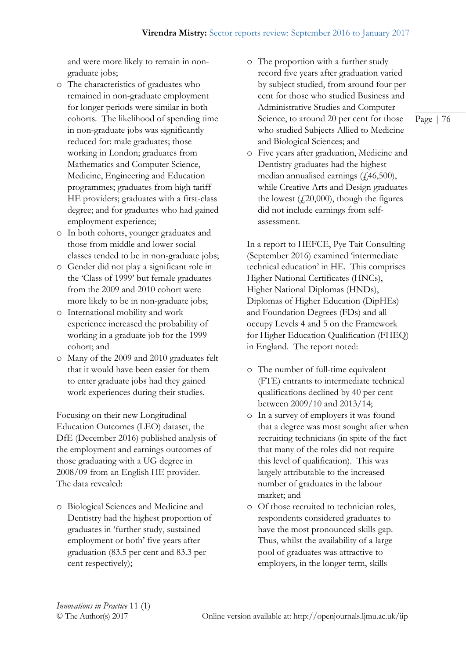and were more likely to remain in nongraduate jobs;

- o The characteristics of graduates who remained in non-graduate employment for longer periods were similar in both cohorts. The likelihood of spending time in non-graduate jobs was significantly reduced for: male graduates; those working in London; graduates from Mathematics and Computer Science, Medicine, Engineering and Education programmes; graduates from high tariff HE providers; graduates with a first-class degree; and for graduates who had gained employment experience;
- o In both cohorts, younger graduates and those from middle and lower social classes tended to be in non-graduate jobs;
- o Gender did not play a significant role in the 'Class of 1999' but female graduates from the 2009 and 2010 cohort were more likely to be in non-graduate jobs;
- o International mobility and work experience increased the probability of working in a graduate job for the 1999 cohort; and
- o Many of the 2009 and 2010 graduates felt that it would have been easier for them to enter graduate jobs had they gained work experiences during their studies.

Focusing on their new Longitudinal Education Outcomes (LEO) dataset, the DfE (December 2016) published analysis of the employment and earnings outcomes of those graduating with a UG degree in 2008/09 from an English HE provider. The data revealed:

o Biological Sciences and Medicine and Dentistry had the highest proportion of graduates in 'further study, sustained employment or both' five years after graduation (83.5 per cent and 83.3 per cent respectively);

- o The proportion with a further study record five years after graduation varied by subject studied, from around four per cent for those who studied Business and Administrative Studies and Computer Science, to around 20 per cent for those who studied Subjects Allied to Medicine and Biological Sciences; and
- o Five years after graduation, Medicine and Dentistry graduates had the highest median annualised earnings  $(446,500)$ , while Creative Arts and Design graduates the lowest  $(20,000)$ , though the figures did not include earnings from selfassessment.

In a report to HEFCE, Pye Tait Consulting (September 2016) examined 'intermediate technical education' in HE. This comprises Higher National Certificates (HNCs), Higher National Diplomas (HNDs), Diplomas of Higher Education (DipHEs) and Foundation Degrees (FDs) and all occupy Levels 4 and 5 on the Framework for Higher Education Qualification (FHEQ) in England. The report noted:

- o The number of full-time equivalent (FTE) entrants to intermediate technical qualifications declined by 40 per cent between 2009/10 and 2013/14;
- o In a survey of employers it was found that a degree was most sought after when recruiting technicians (in spite of the fact that many of the roles did not require this level of qualification). This was largely attributable to the increased number of graduates in the labour market; and
- o Of those recruited to technician roles, respondents considered graduates to have the most pronounced skills gap. Thus, whilst the availability of a large pool of graduates was attractive to employers, in the longer term, skills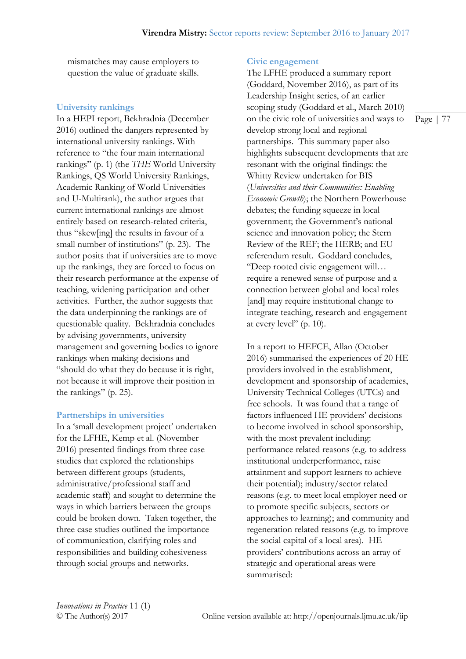mismatches may cause employers to question the value of graduate skills.

#### **University rankings**

In a HEPI report, Bekhradnia (December 2016) outlined the dangers represented by international university rankings. With reference to "the four main international rankings" (p. 1) (the *THE* World University Rankings, QS World University Rankings, Academic Ranking of World Universities and U-Multirank), the author argues that current international rankings are almost entirely based on research-related criteria, thus "skew[ing] the results in favour of a small number of institutions" (p. 23). The author posits that if universities are to move up the rankings, they are forced to focus on their research performance at the expense of teaching, widening participation and other activities. Further, the author suggests that the data underpinning the rankings are of questionable quality. Bekhradnia concludes by advising governments, university management and governing bodies to ignore rankings when making decisions and "should do what they do because it is right, not because it will improve their position in the rankings" (p. 25).

#### **Partnerships in universities**

In a 'small development project' undertaken for the LFHE, Kemp et al. (November 2016) presented findings from three case studies that explored the relationships between different groups (students, administrative/professional staff and academic staff) and sought to determine the ways in which barriers between the groups could be broken down. Taken together, the three case studies outlined the importance of communication, clarifying roles and responsibilities and building cohesiveness through social groups and networks.

#### **Civic engagement**

The LFHE produced a summary report (Goddard, November 2016), as part of its Leadership Insight series, of an earlier scoping study (Goddard et al., March 2010) on the civic role of universities and ways to develop strong local and regional partnerships. This summary paper also highlights subsequent developments that are resonant with the original findings: the Whitty Review undertaken for BIS (*Universities and their Communities: Enabling Economic Growth*); the Northern Powerhouse debates; the funding squeeze in local government; the Government's national science and innovation policy; the Stern Review of the REF; the HERB; and EU referendum result. Goddard concludes, "Deep rooted civic engagement will… require a renewed sense of purpose and a connection between global and local roles [and] may require institutional change to integrate teaching, research and engagement at every level" (p. 10).

In a report to HEFCE, Allan (October 2016) summarised the experiences of 20 HE providers involved in the establishment, development and sponsorship of academies, University Technical Colleges (UTCs) and free schools. It was found that a range of factors influenced HE providers' decisions to become involved in school sponsorship, with the most prevalent including: performance related reasons (e.g. to address institutional underperformance, raise attainment and support learners to achieve their potential); industry/sector related reasons (e.g. to meet local employer need or to promote specific subjects, sectors or approaches to learning); and community and regeneration related reasons (e.g. to improve the social capital of a local area). HE providers' contributions across an array of strategic and operational areas were summarised: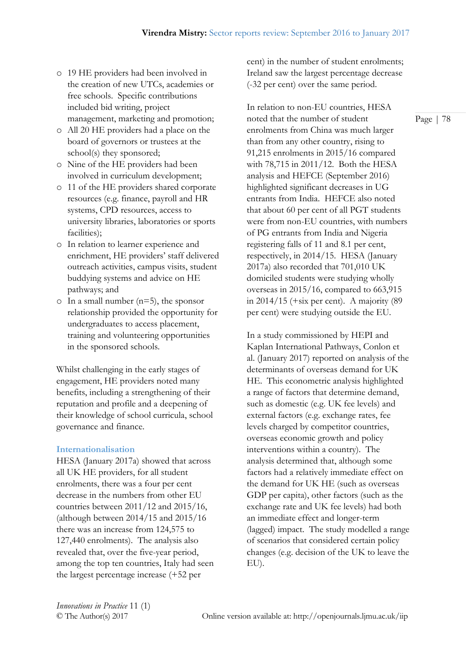- o 19 HE providers had been involved in the creation of new UTCs, academies or free schools. Specific contributions included bid writing, project management, marketing and promotion;
- o All 20 HE providers had a place on the board of governors or trustees at the school(s) they sponsored;
- o Nine of the HE providers had been involved in curriculum development;
- o 11 of the HE providers shared corporate resources (e.g. finance, payroll and HR systems, CPD resources, access to university libraries, laboratories or sports facilities);
- o In relation to learner experience and enrichment, HE providers' staff delivered outreach activities, campus visits, student buddying systems and advice on HE pathways; and
- $\circ$  In a small number (n=5), the sponsor relationship provided the opportunity for undergraduates to access placement, training and volunteering opportunities in the sponsored schools.

Whilst challenging in the early stages of engagement, HE providers noted many benefits, including a strengthening of their reputation and profile and a deepening of their knowledge of school curricula, school governance and finance.

#### **Internationalisation**

HESA (January 2017a) showed that across all UK HE providers, for all student enrolments, there was a four per cent decrease in the numbers from other EU countries between 2011/12 and 2015/16, (although between 2014/15 and 2015/16 there was an increase from 124,575 to 127,440 enrolments). The analysis also revealed that, over the five-year period, among the top ten countries, Italy had seen the largest percentage increase (+52 per

cent) in the number of student enrolments; Ireland saw the largest percentage decrease (-32 per cent) over the same period.

In relation to non-EU countries, HESA noted that the number of student enrolments from China was much larger than from any other country, rising to 91,215 enrolments in 2015/16 compared with 78,715 in 2011/12. Both the HESA analysis and HEFCE (September 2016) highlighted significant decreases in UG entrants from India. HEFCE also noted that about 60 per cent of all PGT students were from non-EU countries, with numbers of PG entrants from India and Nigeria registering falls of 11 and 8.1 per cent, respectively, in 2014/15. HESA (January 2017a) also recorded that 701,010 UK domiciled students were studying wholly overseas in 2015/16, compared to 663,915 in  $2014/15$  (+six per cent). A majority (89 per cent) were studying outside the EU.

In a study commissioned by HEPI and Kaplan International Pathways, Conlon et al. (January 2017) reported on analysis of the determinants of overseas demand for UK HE. This econometric analysis highlighted a range of factors that determine demand, such as domestic (e.g. UK fee levels) and external factors (e.g. exchange rates, fee levels charged by competitor countries, overseas economic growth and policy interventions within a country). The analysis determined that, although some factors had a relatively immediate effect on the demand for UK HE (such as overseas GDP per capita), other factors (such as the exchange rate and UK fee levels) had both an immediate effect and longer-term (lagged) impact. The study modelled a range of scenarios that considered certain policy changes (e.g. decision of the UK to leave the EU).

*Innovations in Practice* 11 (1)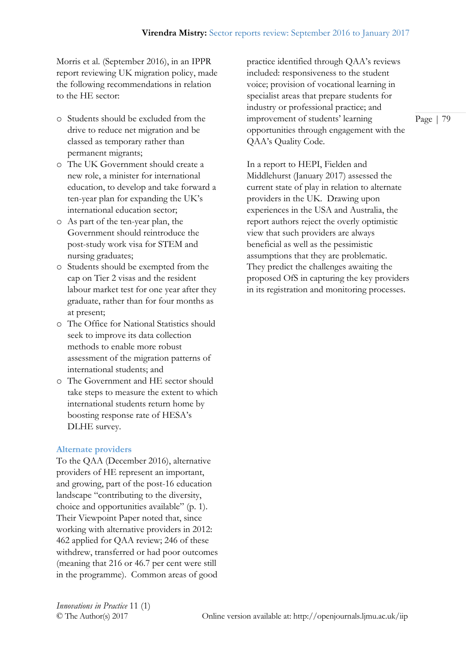Morris et al. (September 2016), in an IPPR report reviewing UK migration policy, made the following recommendations in relation to the HE sector:

- o Students should be excluded from the drive to reduce net migration and be classed as temporary rather than permanent migrants;
- o The UK Government should create a new role, a minister for international education, to develop and take forward a ten-year plan for expanding the UK's international education sector;
- o As part of the ten-year plan, the Government should reintroduce the post-study work visa for STEM and nursing graduates;
- o Students should be exempted from the cap on Tier 2 visas and the resident labour market test for one year after they graduate, rather than for four months as at present;
- o The Office for National Statistics should seek to improve its data collection methods to enable more robust assessment of the migration patterns of international students; and
- o The Government and HE sector should take steps to measure the extent to which international students return home by boosting response rate of HESA's DLHE survey.

#### **Alternate providers**

To the QAA (December 2016), alternative providers of HE represent an important, and growing, part of the post-16 education landscape "contributing to the diversity, choice and opportunities available" (p. 1). Their Viewpoint Paper noted that, since working with alternative providers in 2012: 462 applied for QAA review; 246 of these withdrew, transferred or had poor outcomes (meaning that 216 or 46.7 per cent were still in the programme). Common areas of good practice identified through QAA's reviews included: responsiveness to the student voice; provision of vocational learning in specialist areas that prepare students for industry or professional practice; and improvement of students' learning opportunities through engagement with the QAA's Quality Code.

In a report to HEPI, Fielden and Middlehurst (January 2017) assessed the current state of play in relation to alternate providers in the UK. Drawing upon experiences in the USA and Australia, the report authors reject the overly optimistic view that such providers are always beneficial as well as the pessimistic assumptions that they are problematic. They predict the challenges awaiting the proposed OfS in capturing the key providers in its registration and monitoring processes.

*Innovations in Practice* 11 (1)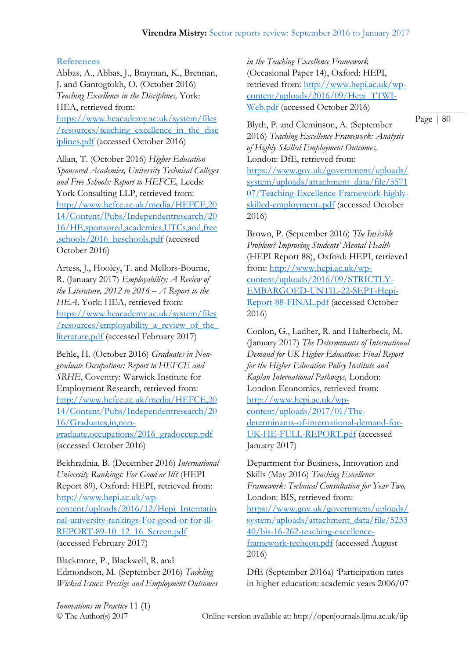## **References**

Abbas, A., Abbas, J., Brayman, K., Brennan, J. and Gantogtokh, O. (October 2016) *Teaching Excellence in the Disciplines,* York: HEA, retrieved from: [https://www.heacademy.ac.uk/system/files](https://www.heacademy.ac.uk/system/files/resources/teaching_excellence_in_the_disciplines.pdf) [/resources/teaching\\_excellence\\_in\\_the\\_disc](https://www.heacademy.ac.uk/system/files/resources/teaching_excellence_in_the_disciplines.pdf) [iplines.pdf](https://www.heacademy.ac.uk/system/files/resources/teaching_excellence_in_the_disciplines.pdf) (accessed October 2016)

Allan, T. (October 2016) *Higher Education Sponsored Academies, University Technical Colleges and Free Schools: Report to HEFCE,* Leeds: York Consulting LLP, retrieved from: [http://www.hefce.ac.uk/media/HEFCE,20](http://www.hefce.ac.uk/media/HEFCE,2014/Content/Pubs/Independentresearch/2016/HE,sponsored,academies,UTCs,and,free,schools/2016_heschools.pdf) [14/Content/Pubs/Independentresearch/20](http://www.hefce.ac.uk/media/HEFCE,2014/Content/Pubs/Independentresearch/2016/HE,sponsored,academies,UTCs,and,free,schools/2016_heschools.pdf) [16/HE,sponsored,academies,UTCs,and,free](http://www.hefce.ac.uk/media/HEFCE,2014/Content/Pubs/Independentresearch/2016/HE,sponsored,academies,UTCs,and,free,schools/2016_heschools.pdf) [,schools/2016\\_heschools.pdf](http://www.hefce.ac.uk/media/HEFCE,2014/Content/Pubs/Independentresearch/2016/HE,sponsored,academies,UTCs,and,free,schools/2016_heschools.pdf) (accessed October 2016)

Artess, J., Hooley, T. and Mellors-Bourne, R. (January 2017) *Employability: A Review of the Literature, 2012 to 2016 – A Report to the HEA,* York: HEA, retrieved from: [https://www.heacademy.ac.uk/system/files](https://www.heacademy.ac.uk/system/files/resources/employability_a_review_of_the_literature.pdf) [/resources/employability\\_a\\_review\\_of\\_the\\_](https://www.heacademy.ac.uk/system/files/resources/employability_a_review_of_the_literature.pdf) [literature.pdf](https://www.heacademy.ac.uk/system/files/resources/employability_a_review_of_the_literature.pdf) (accessed February 2017)

Behle, H. (October 2016) *Graduates in Nongraduate Occupations: Report to HEFCE and SRHE*, Coventry: Warwick Institute for Employment Research, retrieved from: [http://www.hefce.ac.uk/media/HEFCE,20](http://www.hefce.ac.uk/media/HEFCE,2014/Content/Pubs/Independentresearch/2016/Graduates,in,non-graduate,occupations/2016_gradoccup.pdf) [14/Content/Pubs/Independentresearch/20](http://www.hefce.ac.uk/media/HEFCE,2014/Content/Pubs/Independentresearch/2016/Graduates,in,non-graduate,occupations/2016_gradoccup.pdf) [16/Graduates,in,non](http://www.hefce.ac.uk/media/HEFCE,2014/Content/Pubs/Independentresearch/2016/Graduates,in,non-graduate,occupations/2016_gradoccup.pdf)[graduate,occupations/2016\\_gradoccup.pdf](http://www.hefce.ac.uk/media/HEFCE,2014/Content/Pubs/Independentresearch/2016/Graduates,in,non-graduate,occupations/2016_gradoccup.pdf) (accessed October 2016)

Bekhradnia, B. (December 2016) *International University Rankings: For Good or Ill?* (HEPI Report 89), Oxford: HEPI, retrieved from: [http://www.hepi.ac.uk/wp](http://www.hepi.ac.uk/wp-content/uploads/2016/12/Hepi_International-university-rankings-For-good-or-for-ill-REPORT-89-10_12_16_Screen.pdf)[content/uploads/2016/12/Hepi\\_Internatio](http://www.hepi.ac.uk/wp-content/uploads/2016/12/Hepi_International-university-rankings-For-good-or-for-ill-REPORT-89-10_12_16_Screen.pdf) [nal-university-rankings-For-good-or-for-ill-](http://www.hepi.ac.uk/wp-content/uploads/2016/12/Hepi_International-university-rankings-For-good-or-for-ill-REPORT-89-10_12_16_Screen.pdf)[REPORT-89-10\\_12\\_16\\_Screen.pdf](http://www.hepi.ac.uk/wp-content/uploads/2016/12/Hepi_International-university-rankings-For-good-or-for-ill-REPORT-89-10_12_16_Screen.pdf) (accessed February 2017)

Blackmore, P., Blackwell, R. and Edmondson, M. (September 2016) *Tackling Wicked Issues: Prestige and Employment Outcomes*  *in the Teaching Excellence Framework*  (Occasional Paper 14), Oxford: HEPI, retrieved from: [http://www.hepi.ac.uk/wp](http://www.hepi.ac.uk/wp-content/uploads/2016/09/Hepi_TTWI-Web.pdf)[content/uploads/2016/09/Hepi\\_TTWI-](http://www.hepi.ac.uk/wp-content/uploads/2016/09/Hepi_TTWI-Web.pdf)[Web.pdf](http://www.hepi.ac.uk/wp-content/uploads/2016/09/Hepi_TTWI-Web.pdf) (accessed October 2016)

Blyth, P. and Cleminson, A. (September 2016) *Teaching Excellence Framework: Analysis of Highly Skilled Employment Outcomes,*  London: DfE, retrieved from: [https://www.gov.uk/government/uploads/](https://www.gov.uk/government/uploads/system/uploads/attachment_data/file/557107/Teaching-Excellence-Framework-highly-skilled-employment..pdf) [system/uploads/attachment\\_data/file/5571](https://www.gov.uk/government/uploads/system/uploads/attachment_data/file/557107/Teaching-Excellence-Framework-highly-skilled-employment..pdf) [07/Teaching-Excellence-Framework-highly](https://www.gov.uk/government/uploads/system/uploads/attachment_data/file/557107/Teaching-Excellence-Framework-highly-skilled-employment..pdf)[skilled-employment..pdf](https://www.gov.uk/government/uploads/system/uploads/attachment_data/file/557107/Teaching-Excellence-Framework-highly-skilled-employment..pdf) (accessed October 2016)

Brown, P. (September 2016) *The Invisible Problem? Improving Students' Mental Health*  (HEPI Report 88), Oxford: HEPI, retrieved from: [http://www.hepi.ac.uk/wp](http://www.hepi.ac.uk/wp-content/uploads/2016/09/STRICTLY-EMBARGOED-UNTIL-22-SEPT-Hepi-Report-88-FINAL.pdf)[content/uploads/2016/09/STRICTLY-](http://www.hepi.ac.uk/wp-content/uploads/2016/09/STRICTLY-EMBARGOED-UNTIL-22-SEPT-Hepi-Report-88-FINAL.pdf)[EMBARGOED-UNTIL-22-SEPT-Hepi-](http://www.hepi.ac.uk/wp-content/uploads/2016/09/STRICTLY-EMBARGOED-UNTIL-22-SEPT-Hepi-Report-88-FINAL.pdf)[Report-88-FINAL.pdf](http://www.hepi.ac.uk/wp-content/uploads/2016/09/STRICTLY-EMBARGOED-UNTIL-22-SEPT-Hepi-Report-88-FINAL.pdf) (accessed October 2016)

Conlon, G., Ladher, R. and Halterbeck, M. (January 2017) *The Determinants of International Demand for UK Higher Education: Final Report for the Higher Education Policy Institute and Kaplan International Pathways,* London: London Economics, retrieved from: [http://www.hepi.ac.uk/wp](http://www.hepi.ac.uk/wp-content/uploads/2017/01/The-determinants-of-international-demand-for-UK-HE-FULL-REPORT.pdf)[content/uploads/2017/01/The](http://www.hepi.ac.uk/wp-content/uploads/2017/01/The-determinants-of-international-demand-for-UK-HE-FULL-REPORT.pdf)[determinants-of-international-demand-for-](http://www.hepi.ac.uk/wp-content/uploads/2017/01/The-determinants-of-international-demand-for-UK-HE-FULL-REPORT.pdf)[UK-HE-FULL-REPORT.pdf](http://www.hepi.ac.uk/wp-content/uploads/2017/01/The-determinants-of-international-demand-for-UK-HE-FULL-REPORT.pdf) (accessed January 2017)

Department for Business, Innovation and Skills (May 2016) *Teaching Excellence Framework: Technical Consultation for Year Two,*  London: BIS, retrieved from: [https://www.gov.uk/government/uploads/](https://www.gov.uk/government/uploads/system/uploads/attachment_data/file/523340/bis-16-262-teaching-excellence-framework-techcon.pdf) [system/uploads/attachment\\_data/file/5233](https://www.gov.uk/government/uploads/system/uploads/attachment_data/file/523340/bis-16-262-teaching-excellence-framework-techcon.pdf) [40/bis-16-262-teaching-excellence](https://www.gov.uk/government/uploads/system/uploads/attachment_data/file/523340/bis-16-262-teaching-excellence-framework-techcon.pdf)[framework-techcon.pdf](https://www.gov.uk/government/uploads/system/uploads/attachment_data/file/523340/bis-16-262-teaching-excellence-framework-techcon.pdf) (accessed August

DfE (September 2016a) 'Participation rates in higher education: academic years 2006/07

*Innovations in Practice* 11 (1)

2016)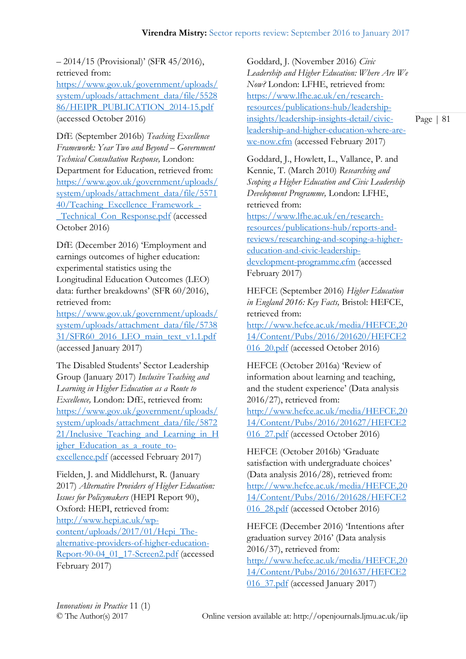– 2014/15 (Provisional)' (SFR 45/2016), retrieved from:

[https://www.gov.uk/government/uploads/](https://www.gov.uk/government/uploads/system/uploads/attachment_data/file/552886/HEIPR_PUBLICATION_2014-15.pdf) [system/uploads/attachment\\_data/file/5528](https://www.gov.uk/government/uploads/system/uploads/attachment_data/file/552886/HEIPR_PUBLICATION_2014-15.pdf) [86/HEIPR\\_PUBLICATION\\_2014-15.pdf](https://www.gov.uk/government/uploads/system/uploads/attachment_data/file/552886/HEIPR_PUBLICATION_2014-15.pdf) (accessed October 2016)

DfE (September 2016b) *Teaching Excellence Framework: Year Two and Beyond – Government Technical Consultation Response,* London: Department for Education, retrieved from: [https://www.gov.uk/government/uploads/](https://www.gov.uk/government/uploads/system/uploads/attachment_data/file/557140/Teaching_Excellence_Framework_-_Technical_Con_Response.pdf) [system/uploads/attachment\\_data/file/5571](https://www.gov.uk/government/uploads/system/uploads/attachment_data/file/557140/Teaching_Excellence_Framework_-_Technical_Con_Response.pdf) [40/Teaching\\_Excellence\\_Framework\\_-](https://www.gov.uk/government/uploads/system/uploads/attachment_data/file/557140/Teaching_Excellence_Framework_-_Technical_Con_Response.pdf) [\\_Technical\\_Con\\_Response.pdf](https://www.gov.uk/government/uploads/system/uploads/attachment_data/file/557140/Teaching_Excellence_Framework_-_Technical_Con_Response.pdf) (accessed October 2016)

DfE (December 2016) 'Employment and earnings outcomes of higher education: experimental statistics using the Longitudinal Education Outcomes (LEO) data: further breakdowns' (SFR 60/2016), retrieved from:

[https://www.gov.uk/government/uploads/](https://www.gov.uk/government/uploads/system/uploads/attachment_data/file/573831/SFR60_2016_LEO_main_text_v1.1.pdf) [system/uploads/attachment\\_data/file/5738](https://www.gov.uk/government/uploads/system/uploads/attachment_data/file/573831/SFR60_2016_LEO_main_text_v1.1.pdf) [31/SFR60\\_2016\\_LEO\\_main\\_text\\_v1.1.pdf](https://www.gov.uk/government/uploads/system/uploads/attachment_data/file/573831/SFR60_2016_LEO_main_text_v1.1.pdf) (accessed January 2017)

The Disabled Students' Sector Leadership Group (January 2017) *Inclusive Teaching and Learning in Higher Education as a Route to Excellence,* London: DfE, retrieved from: [https://www.gov.uk/government/uploads/](https://www.gov.uk/government/uploads/system/uploads/attachment_data/file/587221/Inclusive_Teaching_and_Learning_in_Higher_Education_as_a_route_to-excellence.pdf) [system/uploads/attachment\\_data/file/5872](https://www.gov.uk/government/uploads/system/uploads/attachment_data/file/587221/Inclusive_Teaching_and_Learning_in_Higher_Education_as_a_route_to-excellence.pdf) 21/Inclusive Teaching and Learning in H [igher\\_Education\\_as\\_a\\_route\\_to](https://www.gov.uk/government/uploads/system/uploads/attachment_data/file/587221/Inclusive_Teaching_and_Learning_in_Higher_Education_as_a_route_to-excellence.pdf)[excellence.pdf](https://www.gov.uk/government/uploads/system/uploads/attachment_data/file/587221/Inclusive_Teaching_and_Learning_in_Higher_Education_as_a_route_to-excellence.pdf) (accessed February 2017)

Fielden, J. and Middlehurst, R. (January 2017) *Alternative Providers of Higher Education: Issues for Policymakers* (HEPI Report 90), Oxford: HEPI, retrieved from: [http://www.hepi.ac.uk/wp](http://www.hepi.ac.uk/wp-content/uploads/2017/01/Hepi_The-alternative-providers-of-higher-education-Report-90-04_01_17-Screen2.pdf)[content/uploads/2017/01/Hepi\\_The](http://www.hepi.ac.uk/wp-content/uploads/2017/01/Hepi_The-alternative-providers-of-higher-education-Report-90-04_01_17-Screen2.pdf)[alternative-providers-of-higher-education-](http://www.hepi.ac.uk/wp-content/uploads/2017/01/Hepi_The-alternative-providers-of-higher-education-Report-90-04_01_17-Screen2.pdf)[Report-90-04\\_01\\_17-Screen2.pdf](http://www.hepi.ac.uk/wp-content/uploads/2017/01/Hepi_The-alternative-providers-of-higher-education-Report-90-04_01_17-Screen2.pdf) (accessed February 2017)

Goddard, J. (November 2016) *Civic Leadership and Higher Education: Where Are We Now?* London: LFHE, retrieved from: [https://www.lfhe.ac.uk/en/research](https://www.lfhe.ac.uk/en/research-resources/publications-hub/leadership-insights/leadership-insights-detail/civic-leadership-and-higher-education-where-are-we-now.cfm)[resources/publications-hub/leadership](https://www.lfhe.ac.uk/en/research-resources/publications-hub/leadership-insights/leadership-insights-detail/civic-leadership-and-higher-education-where-are-we-now.cfm)[insights/leadership-insights-detail/civic](https://www.lfhe.ac.uk/en/research-resources/publications-hub/leadership-insights/leadership-insights-detail/civic-leadership-and-higher-education-where-are-we-now.cfm)[leadership-and-higher-education-where-are](https://www.lfhe.ac.uk/en/research-resources/publications-hub/leadership-insights/leadership-insights-detail/civic-leadership-and-higher-education-where-are-we-now.cfm)[we-now.cfm](https://www.lfhe.ac.uk/en/research-resources/publications-hub/leadership-insights/leadership-insights-detail/civic-leadership-and-higher-education-where-are-we-now.cfm) (accessed February 2017)

Goddard, J., Howlett, L., Vallance, P. and Kennie, T. (March 2010) *Researching and Scoping a Higher Education and Civic Leadership Development Programme,* London: LFHE, retrieved from:

[https://www.lfhe.ac.uk/en/research](https://www.lfhe.ac.uk/en/research-resources/publications-hub/reports-and-reviews/researching-and-scoping-a-higher-education-and-civic-leadership-development-programme.cfm)[resources/publications-hub/reports-and](https://www.lfhe.ac.uk/en/research-resources/publications-hub/reports-and-reviews/researching-and-scoping-a-higher-education-and-civic-leadership-development-programme.cfm)[reviews/researching-and-scoping-a-higher](https://www.lfhe.ac.uk/en/research-resources/publications-hub/reports-and-reviews/researching-and-scoping-a-higher-education-and-civic-leadership-development-programme.cfm)[education-and-civic-leadership](https://www.lfhe.ac.uk/en/research-resources/publications-hub/reports-and-reviews/researching-and-scoping-a-higher-education-and-civic-leadership-development-programme.cfm)[development-programme.cfm](https://www.lfhe.ac.uk/en/research-resources/publications-hub/reports-and-reviews/researching-and-scoping-a-higher-education-and-civic-leadership-development-programme.cfm) (accessed February 2017)

HEFCE (September 2016) *Higher Education in England 2016: Key Facts,* Bristol: HEFCE, retrieved from: [http://www.hefce.ac.uk/media/HEFCE,20](http://www.hefce.ac.uk/media/HEFCE,2014/Content/Pubs/2016/201620/HEFCE2016_20.pdf)

[14/Content/Pubs/2016/201620/HEFCE2](http://www.hefce.ac.uk/media/HEFCE,2014/Content/Pubs/2016/201620/HEFCE2016_20.pdf) [016\\_20.pdf](http://www.hefce.ac.uk/media/HEFCE,2014/Content/Pubs/2016/201620/HEFCE2016_20.pdf) (accessed October 2016)

HEFCE (October 2016a) 'Review of information about learning and teaching, and the student experience' (Data analysis 2016/27), retrieved from: [http://www.hefce.ac.uk/media/HEFCE,20](http://www.hefce.ac.uk/media/HEFCE,2014/Content/Pubs/2016/201627/HEFCE2016_27.pdf) [14/Content/Pubs/2016/201627/HEFCE2](http://www.hefce.ac.uk/media/HEFCE,2014/Content/Pubs/2016/201627/HEFCE2016_27.pdf) 016 27.pdf (accessed October 2016)

HEFCE (October 2016b) 'Graduate satisfaction with undergraduate choices' (Data analysis 2016/28), retrieved from: [http://www.hefce.ac.uk/media/HEFCE,20](http://www.hefce.ac.uk/media/HEFCE,2014/Content/Pubs/2016/201628/HEFCE2016_28.pdf) [14/Content/Pubs/2016/201628/HEFCE2](http://www.hefce.ac.uk/media/HEFCE,2014/Content/Pubs/2016/201628/HEFCE2016_28.pdf) [016\\_28.pdf](http://www.hefce.ac.uk/media/HEFCE,2014/Content/Pubs/2016/201628/HEFCE2016_28.pdf) (accessed October 2016)

HEFCE (December 2016) 'Intentions after graduation survey 2016' (Data analysis 2016/37), retrieved from: [http://www.hefce.ac.uk/media/HEFCE,20](http://www.hefce.ac.uk/media/HEFCE,2014/Content/Pubs/2016/201637/HEFCE2016_37.pdf) [14/Content/Pubs/2016/201637/HEFCE2](http://www.hefce.ac.uk/media/HEFCE,2014/Content/Pubs/2016/201637/HEFCE2016_37.pdf) [016\\_37.pdf](http://www.hefce.ac.uk/media/HEFCE,2014/Content/Pubs/2016/201637/HEFCE2016_37.pdf) (accessed January 2017)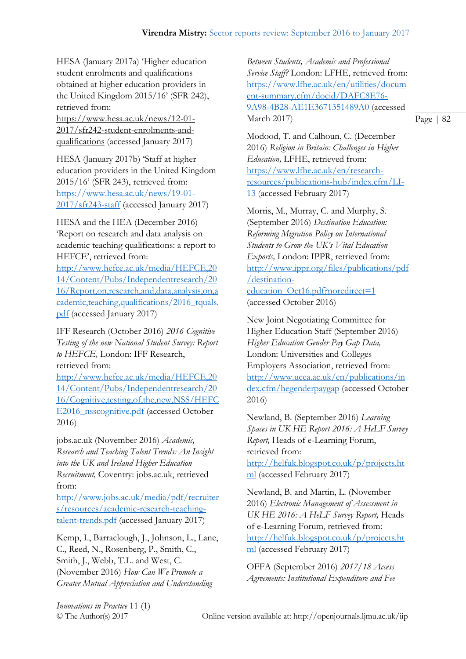HESA (January 2017a) 'Higher education student enrolments and qualifications obtained at higher education providers in the United Kingdom 2015/16' (SFR 242), retrieved from:

[https://www.hesa.ac.uk/news/12-01-](https://www.hesa.ac.uk/news/12-01-2017/sfr242-student-enrolments-and-qualifications) [2017/sfr242-student-enrolments-and](https://www.hesa.ac.uk/news/12-01-2017/sfr242-student-enrolments-and-qualifications)[qualifications](https://www.hesa.ac.uk/news/12-01-2017/sfr242-student-enrolments-and-qualifications) (accessed January 2017)

HESA (January 2017b) 'Staff at higher education providers in the United Kingdom 2015/16' (SFR 243), retrieved from: [https://www.hesa.ac.uk/news/19-01-](https://www.hesa.ac.uk/news/19-01-2017/sfr243-staff) [2017/sfr243-staff](https://www.hesa.ac.uk/news/19-01-2017/sfr243-staff) (accessed January 2017)

HESA and the HEA (December 2016) 'Report on research and data analysis on academic teaching qualifications: a report to HEFCE', retrieved from:

[http://www.hefce.ac.uk/media/HEFCE,20](http://www.hefce.ac.uk/media/HEFCE,2014/Content/Pubs/Independentresearch/2016/Report,on,research,and,data,analysis,on,academic,teaching,qualifications/2016_tquals.pdf) [14/Content/Pubs/Independentresearch/20](http://www.hefce.ac.uk/media/HEFCE,2014/Content/Pubs/Independentresearch/2016/Report,on,research,and,data,analysis,on,academic,teaching,qualifications/2016_tquals.pdf) [16/Report,on,research,and,data,analysis,on,a](http://www.hefce.ac.uk/media/HEFCE,2014/Content/Pubs/Independentresearch/2016/Report,on,research,and,data,analysis,on,academic,teaching,qualifications/2016_tquals.pdf) [cademic,teaching,qualifications/2016\\_tquals.](http://www.hefce.ac.uk/media/HEFCE,2014/Content/Pubs/Independentresearch/2016/Report,on,research,and,data,analysis,on,academic,teaching,qualifications/2016_tquals.pdf) [pdf](http://www.hefce.ac.uk/media/HEFCE,2014/Content/Pubs/Independentresearch/2016/Report,on,research,and,data,analysis,on,academic,teaching,qualifications/2016_tquals.pdf) (accessed January 2017)

IFF Research (October 2016) *2016 Cognitive Testing of the new National Student Survey: Report to HEFCE,* London: IFF Research, retrieved from:

[http://www.hefce.ac.uk/media/HEFCE,20](http://www.hefce.ac.uk/media/HEFCE,2014/Content/Pubs/Independentresearch/2016/Cognitive,testing,of,the,new,NSS/HEFCE2016_nsscognitive.pdf) [14/Content/Pubs/Independentresearch/20](http://www.hefce.ac.uk/media/HEFCE,2014/Content/Pubs/Independentresearch/2016/Cognitive,testing,of,the,new,NSS/HEFCE2016_nsscognitive.pdf) [16/Cognitive,testing,of,the,new,NSS/HEFC](http://www.hefce.ac.uk/media/HEFCE,2014/Content/Pubs/Independentresearch/2016/Cognitive,testing,of,the,new,NSS/HEFCE2016_nsscognitive.pdf) [E2016\\_nsscognitive.pdf](http://www.hefce.ac.uk/media/HEFCE,2014/Content/Pubs/Independentresearch/2016/Cognitive,testing,of,the,new,NSS/HEFCE2016_nsscognitive.pdf) (accessed October 2016)

jobs.ac.uk (November 2016) *Academic, Research and Teaching Talent Trends: An Insight into the UK and Ireland Higher Education Recruitment,* Coventry: jobs.ac.uk, retrieved from:

[http://www.jobs.ac.uk/media/pdf/recruiter](http://www.jobs.ac.uk/media/pdf/recruiters/resources/academic-research-teaching-talent-trends.pdf) [s/resources/academic-research-teaching](http://www.jobs.ac.uk/media/pdf/recruiters/resources/academic-research-teaching-talent-trends.pdf)[talent-trends.pdf](http://www.jobs.ac.uk/media/pdf/recruiters/resources/academic-research-teaching-talent-trends.pdf) (accessed January 2017)

Kemp, I., Barraclough, J., Johnson, L., Lane, C., Reed, N., Rosenberg, P., Smith, C., Smith, J., Webb, T.L. and West, C. (November 2016) *How Can We Promote a Greater Mutual Appreciation and Understanding* 

*Between Students, Academic and Professional Service Staff?* London: LFHE, retrieved from: [https://www.lfhe.ac.uk/en/utilities/docum](https://www.lfhe.ac.uk/en/utilities/document-summary.cfm/docid/DAFC8E76-9A98-4B28-AE1E3671351489A0) [ent-summary.cfm/docid/DAFC8E76-](https://www.lfhe.ac.uk/en/utilities/document-summary.cfm/docid/DAFC8E76-9A98-4B28-AE1E3671351489A0) [9A98-4B28-AE1E3671351489A0](https://www.lfhe.ac.uk/en/utilities/document-summary.cfm/docid/DAFC8E76-9A98-4B28-AE1E3671351489A0) (accessed March 2017)

Page | 82

Modood, T. and Calhoun, C. (December 2016) *Religion in Britain: Challenges in Higher Education,* LFHE, retrieved from: [https://www.lfhe.ac.uk/en/research](https://www.lfhe.ac.uk/en/research-resources/publications-hub/index.cfm/LI-13)[resources/publications-hub/index.cfm/LI-](https://www.lfhe.ac.uk/en/research-resources/publications-hub/index.cfm/LI-13)[13](https://www.lfhe.ac.uk/en/research-resources/publications-hub/index.cfm/LI-13) (accessed February 2017)

Morris, M., Murray, C. and Murphy, S. (September 2016) *Destination Education: Reforming Migration Policy on International Students to Grow the UK's Vital Education Exports,* London: IPPR, retrieved from: [http://www.ippr.org/files/publications/pdf](http://www.ippr.org/files/publications/pdf/destination-education_Oct16.pdf?noredirect=1) [/destination](http://www.ippr.org/files/publications/pdf/destination-education_Oct16.pdf?noredirect=1)[education\\_Oct16.pdf?noredirect=1](http://www.ippr.org/files/publications/pdf/destination-education_Oct16.pdf?noredirect=1) (accessed October 2016)

New Joint Negotiating Committee for Higher Education Staff (September 2016) *Higher Education Gender Pay Gap Data,*  London: Universities and Colleges Employers Association, retrieved from: [http://www.ucea.ac.uk/en/publications/in](http://www.ucea.ac.uk/en/publications/index.cfm/hegenderpaygap) [dex.cfm/hegenderpaygap](http://www.ucea.ac.uk/en/publications/index.cfm/hegenderpaygap) (accessed October 2016)

Newland, B. (September 2016) *Learning Spaces in UK HE Report 2016: A HeLF Survey Report,* Heads of e-Learning Forum, retrieved from:

[http://helfuk.blogspot.co.uk/p/projects.ht](http://helfuk.blogspot.co.uk/p/projects.html) [ml](http://helfuk.blogspot.co.uk/p/projects.html) (accessed February 2017)

Newland, B. and Martin, L. (November 2016) *Electronic Management of Assessment in UK HE 2016: A HeLF Survey Report,* Heads of e-Learning Forum, retrieved from: [http://helfuk.blogspot.co.uk/p/projects.ht](http://helfuk.blogspot.co.uk/p/projects.html) [ml](http://helfuk.blogspot.co.uk/p/projects.html) (accessed February 2017)

OFFA (September 2016) *2017/18 Access Agreements: Institutional Expenditure and Fee* 

*Innovations in Practice* 11 (1)

© The Author(s) 2017 Online version available at: http://openjournals.ljmu.ac.uk/iip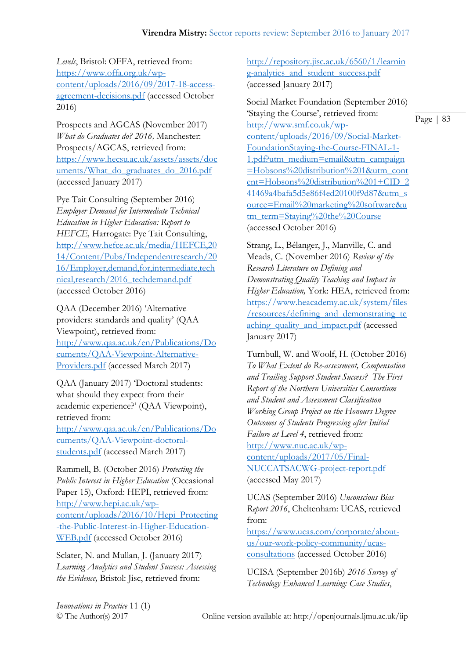*Levels*, Bristol: OFFA, retrieved from: [https://www.offa.org.uk/wp](https://www.offa.org.uk/wp-content/uploads/2016/09/2017-18-access-agreement-decisions.pdf)[content/uploads/2016/09/2017-18-access](https://www.offa.org.uk/wp-content/uploads/2016/09/2017-18-access-agreement-decisions.pdf)[agreement-decisions.pdf](https://www.offa.org.uk/wp-content/uploads/2016/09/2017-18-access-agreement-decisions.pdf) (accessed October 2016)

Prospects and AGCAS (November 2017) *What do Graduates do? 2016,* Manchester: Prospects/AGCAS, retrieved from: [https://www.hecsu.ac.uk/assets/assets/doc](https://www.hecsu.ac.uk/assets/assets/documents/What_do_graduates_do_2016.pdf) [uments/What\\_do\\_graduates\\_do\\_2016.pdf](https://www.hecsu.ac.uk/assets/assets/documents/What_do_graduates_do_2016.pdf) (accessed January 2017)

Pye Tait Consulting (September 2016) *Employer Demand for Intermediate Technical Education in Higher Education: Report to HEFCE,* Harrogate: Pye Tait Consulting, [http://www.hefce.ac.uk/media/HEFCE,20](http://www.hefce.ac.uk/media/HEFCE,2014/Content/Pubs/Independentresearch/2016/Employer,demand,for,intermediate,technical,research/2016_techdemand.pdf) [14/Content/Pubs/Independentresearch/20](http://www.hefce.ac.uk/media/HEFCE,2014/Content/Pubs/Independentresearch/2016/Employer,demand,for,intermediate,technical,research/2016_techdemand.pdf) [16/Employer,demand,for,intermediate,tech](http://www.hefce.ac.uk/media/HEFCE,2014/Content/Pubs/Independentresearch/2016/Employer,demand,for,intermediate,technical,research/2016_techdemand.pdf) [nical,research/2016\\_techdemand.pdf](http://www.hefce.ac.uk/media/HEFCE,2014/Content/Pubs/Independentresearch/2016/Employer,demand,for,intermediate,technical,research/2016_techdemand.pdf) (accessed October 2016)

QAA (December 2016) 'Alternative providers: standards and quality' (QAA Viewpoint), retrieved from: [http://www.qaa.ac.uk/en/Publications/Do](http://www.qaa.ac.uk/en/Publications/Documents/QAA-Viewpoint-Alternative-Providers.pdf) [cuments/QAA-Viewpoint-Alternative-](http://www.qaa.ac.uk/en/Publications/Documents/QAA-Viewpoint-Alternative-Providers.pdf)[Providers.pdf](http://www.qaa.ac.uk/en/Publications/Documents/QAA-Viewpoint-Alternative-Providers.pdf) (accessed March 2017)

QAA (January 2017) 'Doctoral students: what should they expect from their academic experience?' (QAA Viewpoint), retrieved from:

[http://www.qaa.ac.uk/en/Publications/Do](http://www.qaa.ac.uk/en/Publications/Documents/QAA-Viewpoint-doctoral-students.pdf) [cuments/QAA-Viewpoint-doctoral](http://www.qaa.ac.uk/en/Publications/Documents/QAA-Viewpoint-doctoral-students.pdf)[students.pdf](http://www.qaa.ac.uk/en/Publications/Documents/QAA-Viewpoint-doctoral-students.pdf) (accessed March 2017)

Rammell, B. (October 2016) *Protecting the Public Interest in Higher Education* (Occasional Paper 15), Oxford: HEPI, retrieved from: [http://www.hepi.ac.uk/wp](http://www.hepi.ac.uk/wp-content/uploads/2016/10/Hepi_Protecting-the-Public-Interest-in-Higher-Education-WEB.pdf)[content/uploads/2016/10/Hepi\\_Protecting](http://www.hepi.ac.uk/wp-content/uploads/2016/10/Hepi_Protecting-the-Public-Interest-in-Higher-Education-WEB.pdf) [-the-Public-Interest-in-Higher-Education-](http://www.hepi.ac.uk/wp-content/uploads/2016/10/Hepi_Protecting-the-Public-Interest-in-Higher-Education-WEB.pdf)[WEB.pdf](http://www.hepi.ac.uk/wp-content/uploads/2016/10/Hepi_Protecting-the-Public-Interest-in-Higher-Education-WEB.pdf) (accessed October 2016)

Sclater, N. and Mullan, J. (January 2017) *Learning Analytics and Student Success: Assessing the Evidence,* Bristol: Jisc, retrieved from:

[http://repository.jisc.ac.uk/6560/1/learnin](http://repository.jisc.ac.uk/6560/1/learning-analytics_and_student_success.pdf) [g-analytics\\_and\\_student\\_success.pdf](http://repository.jisc.ac.uk/6560/1/learning-analytics_and_student_success.pdf) (accessed January 2017)

Social Market Foundation (September 2016) 'Staying the Course', retrieved from: [http://www.smf.co.uk/wp](http://www.smf.co.uk/wp-content/uploads/2016/09/Social-Market-FoundationStaying-the-Course-FINAL-1-1.pdf?utm_medium=email&utm_campaign=Hobsons%20distribution%201&utm_content=Hobsons%20distribution%201+CID_241469a4bafa5d5e86f4ed20100f9d87&utm_source=Email%20marketing%20software&utm_term=Staying%20the%20Course)[content/uploads/2016/09/Social-Market-](http://www.smf.co.uk/wp-content/uploads/2016/09/Social-Market-FoundationStaying-the-Course-FINAL-1-1.pdf?utm_medium=email&utm_campaign=Hobsons%20distribution%201&utm_content=Hobsons%20distribution%201+CID_241469a4bafa5d5e86f4ed20100f9d87&utm_source=Email%20marketing%20software&utm_term=Staying%20the%20Course)[FoundationStaying-the-Course-FINAL-1-](http://www.smf.co.uk/wp-content/uploads/2016/09/Social-Market-FoundationStaying-the-Course-FINAL-1-1.pdf?utm_medium=email&utm_campaign=Hobsons%20distribution%201&utm_content=Hobsons%20distribution%201+CID_241469a4bafa5d5e86f4ed20100f9d87&utm_source=Email%20marketing%20software&utm_term=Staying%20the%20Course) [1.pdf?utm\\_medium=email&utm\\_campaign](http://www.smf.co.uk/wp-content/uploads/2016/09/Social-Market-FoundationStaying-the-Course-FINAL-1-1.pdf?utm_medium=email&utm_campaign=Hobsons%20distribution%201&utm_content=Hobsons%20distribution%201+CID_241469a4bafa5d5e86f4ed20100f9d87&utm_source=Email%20marketing%20software&utm_term=Staying%20the%20Course) [=Hobsons%20distribution%201&utm\\_cont](http://www.smf.co.uk/wp-content/uploads/2016/09/Social-Market-FoundationStaying-the-Course-FINAL-1-1.pdf?utm_medium=email&utm_campaign=Hobsons%20distribution%201&utm_content=Hobsons%20distribution%201+CID_241469a4bafa5d5e86f4ed20100f9d87&utm_source=Email%20marketing%20software&utm_term=Staying%20the%20Course) [ent=Hobsons%20distribution%201+CID\\_2](http://www.smf.co.uk/wp-content/uploads/2016/09/Social-Market-FoundationStaying-the-Course-FINAL-1-1.pdf?utm_medium=email&utm_campaign=Hobsons%20distribution%201&utm_content=Hobsons%20distribution%201+CID_241469a4bafa5d5e86f4ed20100f9d87&utm_source=Email%20marketing%20software&utm_term=Staying%20the%20Course) [41469a4bafa5d5e86f4ed20100f9d87&utm\\_s](http://www.smf.co.uk/wp-content/uploads/2016/09/Social-Market-FoundationStaying-the-Course-FINAL-1-1.pdf?utm_medium=email&utm_campaign=Hobsons%20distribution%201&utm_content=Hobsons%20distribution%201+CID_241469a4bafa5d5e86f4ed20100f9d87&utm_source=Email%20marketing%20software&utm_term=Staying%20the%20Course) [ource=Email%20marketing%20software&u](http://www.smf.co.uk/wp-content/uploads/2016/09/Social-Market-FoundationStaying-the-Course-FINAL-1-1.pdf?utm_medium=email&utm_campaign=Hobsons%20distribution%201&utm_content=Hobsons%20distribution%201+CID_241469a4bafa5d5e86f4ed20100f9d87&utm_source=Email%20marketing%20software&utm_term=Staying%20the%20Course) [tm\\_term=Staying%20the%20Course](http://www.smf.co.uk/wp-content/uploads/2016/09/Social-Market-FoundationStaying-the-Course-FINAL-1-1.pdf?utm_medium=email&utm_campaign=Hobsons%20distribution%201&utm_content=Hobsons%20distribution%201+CID_241469a4bafa5d5e86f4ed20100f9d87&utm_source=Email%20marketing%20software&utm_term=Staying%20the%20Course) (accessed October 2016)

Strang, L., Bélanger, J., Manville, C. and Meads, C. (November 2016) *Review of the Research Literature on Defining and Demonstrating Quality Teaching and Impact in Higher Education,* York: HEA, retrieved from: [https://www.heacademy.ac.uk/system/files](https://www.heacademy.ac.uk/system/files/resources/defining_and_demonstrating_teaching_quality_and_impact.pdf) [/resources/defining\\_and\\_demonstrating\\_te](https://www.heacademy.ac.uk/system/files/resources/defining_and_demonstrating_teaching_quality_and_impact.pdf) [aching\\_quality\\_and\\_impact.pdf](https://www.heacademy.ac.uk/system/files/resources/defining_and_demonstrating_teaching_quality_and_impact.pdf) (accessed January 2017)

Turnbull, W. and Woolf, H. (October 2016) *To What Extent do Re-assessment, Compensation and Trailing Support Student Success? The First Report of the Northern Universities Consortium and Student and Assessment Classification Working Group Project on the Honours Degree Outcomes of Students Progressing after Initial Failure at Level 4*, retrieved from: [http://www.nuc.ac.uk/wp](http://www.nuc.ac.uk/wp-content/uploads/2017/05/Final-NUCCATSACWG-project-report.pdf)[content/uploads/2017/05/Final-](http://www.nuc.ac.uk/wp-content/uploads/2017/05/Final-NUCCATSACWG-project-report.pdf)[NUCCATSACWG-project-report.pdf](http://www.nuc.ac.uk/wp-content/uploads/2017/05/Final-NUCCATSACWG-project-report.pdf) (accessed May 2017)

UCAS (September 2016) *Unconscious Bias Report 2016*, Cheltenham: UCAS, retrieved from:

[https://www.ucas.com/corporate/about](https://www.ucas.com/corporate/about-us/our-work-policy-community/ucas-consultations)[us/our-work-policy-community/ucas](https://www.ucas.com/corporate/about-us/our-work-policy-community/ucas-consultations)[consultations](https://www.ucas.com/corporate/about-us/our-work-policy-community/ucas-consultations) (accessed October 2016)

UCISA (September 2016b) *2016 Survey of Technology Enhanced Learning: Case Studies*,

*Innovations in Practice* 11 (1)